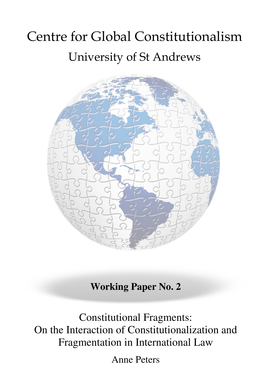# Centre for Global Constitutionalism University of St Andrews



**Working Paper No. 2** 

Constitutional Fragments: On the Interaction of Constitutionalization and Fragmentation in International Law

Anne Peters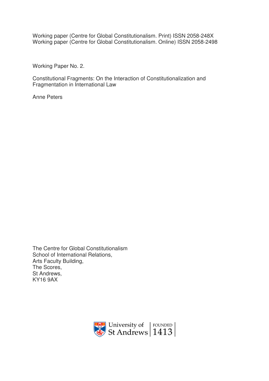Working paper (Centre for Global Constitutionalism. Print) ISSN 2058-248X Working paper (Centre for Global Constitutionalism. Online) ISSN 2058-2498

Working Paper No. 2.

Constitutional Fragments: On the Interaction of Constitutionalization and Fragmentation in International Law

Anne Peters

The Centre for Global Constitutionalism School of International Relations, Arts Faculty Building, The Scores, St Andrews, KY16 9AX

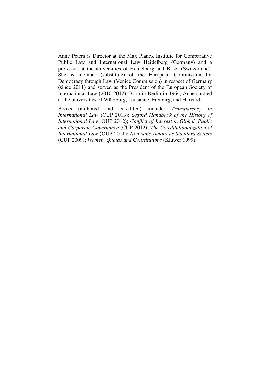Anne Peters is Director at the Max Planck Institute for Comparative Public Law and International Law Heidelberg (Germany) and a professor at the universities of Heidelberg and Basel (Switzerland). She is member (substitute) of the European Commission for Democracy through Law (Venice Commission) in respect of Germany (since 2011) and served as the President of the European Society of International Law (2010-2012). Born in Berlin in 1964, Anne studied at the universities of Würzburg, Lausanne, Freiburg, and Harvard.

Books (authored and co-edited) include: *Transparency in International Law* (CUP 2013); *Oxford Handbook of the History of International Law* (OUP 2012); *Conflict of Interest in Global, Public and Corporate Governance* (CUP 2012); *The Constitutionalization of International Law* (OUP 2011); *Non-state Actors as Standard Setters* (CUP 2009); *Women, Quotas and Constitutions* (Kluwer 1999).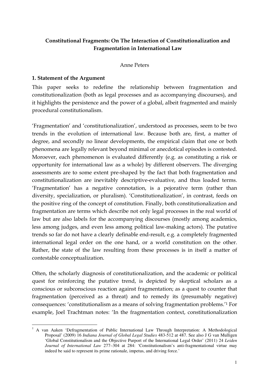# **Constitutional Fragments: On The Interaction of Constitutionalization and Fragmentation in International Law**

#### Anne Peters

#### **1. Statement of the Argument**

This paper seeks to redefine the relationship between fragmentation and constitutionalization (both as legal processes and as accompanying discourses), and it highlights the persistence and the power of a global, albeit fragmented and mainly procedural constitutionalism.

'Fragmentation' and 'constitutionalization', understood as processes, seem to be two trends in the evolution of international law. Because both are, first, a matter of degree, and secondly no linear developments, the empirical claim that one or both phenomena are legally relevant beyond minimal or anecdotical episodes is contested. Moroever, each phenomenon is evaluated differently (e.g. as constituting a risk or opportunity for international law as a whole) by different observers. The diverging assessments are to some extent pre-shaped by the fact that both fragmentation and constitutionalization are inevitably descriptive-evaluative, and thus loaded terms. 'Fragmentation' has a negative connotation, is a pejorative term (rather than diversity, specialization, or pluralism). 'Constitutionalization', in contrast, feeds on the positive ring of the concept of constitution. Finally, both constitutionalization and fragmentation are terms which describe not only legal processes in the real world of law but are also labels for the accompanying discourses (mostly among academics, less among judges, and even less among political law-making actors). The putative trends so far do not have a clearly definable end-result, e.g. a completely fragmented international legal order on the one hand, or a world constitution on the other. Rather, the state of the law resulting from these processes is in itself a matter of contestable conceptualization.

Often, the scholarly diagnosis of constitutionalization, and the academic or political quest for reinforcing the putative trend, is depicted by skeptical scholars as a conscious or subconscious reaction against fragmentation; as a quest to counter that fragmentation (perceived as a threat) and to remedy its (presumably negative) consequences: 'constitutionalism as a means of solving fragmentation problems.'<sup>1</sup> For example, Joel Trachtman notes: 'In the fragmentation context, constitutionalization

<sup>&</sup>lt;sup>1</sup> A van Aaken 'Defragmentation of Public International Law Through Interpretation: A Methodological Proposal' (2009) 16 *Indiana Journal of Global Legal Studies* 483-512 at 487. See also J G van Mulligen 'Global Constitutionalism and the Objective Purport of the International Legal Order' (2011) 24 *Leiden Journal of International Law* 277–304 at 284: 'Constitutionalism's anti-fragmentational virtue may indeed be said to represent its prime rationale, impetus, and driving force.'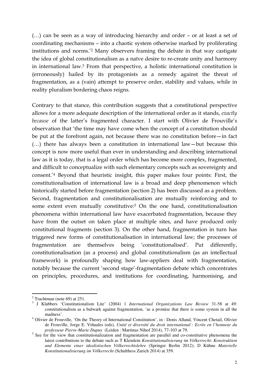(…) can be seen as a way of introducing hierarchy and order – or at least a set of coordinating mechanisms – into a chaotic system otherwise marked by proliferating institutions and norms.'<sup>2</sup> Many observers framing the debate in that way castigate the idea of global constitutionalism as a naïve desire to re-create unity and harmony in international law.<sup>3</sup> From that perspective, a holistic international constitution is (erroneously) hailed by its protagonists as a remedy against the threat of fragmentation, as a (vain) attempt to preserve order, stability and values, while in reality pluralism bordering chaos reigns.

Contrary to that stance, this contribution suggests that a constitutional perspective allows for a more adequate description of the international order as it stands, *exactly because* of the latter's fragmented character. I start with Olivier de Frouville's observation that 'the time may have come when the concept of a constitution should be put at the forefront again, not because there was no constitution before—in fact (…) there has always been a constitution in international law—but because this concept is now more useful than ever in understanding and describing international law as it is today, that is a legal order which has become more complex, fragmented, and difficult to conceptualize with such elementary concepts such as sovereignty and consent.'<sup>4</sup> Beyond that heuristic insight, this paper makes four points: First, the constitutionalisation of international law is a broad and deep phenomenon which historically started before fragmentation (section 2) has been discussed as a problem. Second, fragmentation and constitutionalisation are mutually reinforcing and to some extent even mutually constitutive:<sup>5</sup> On the one hand, constitutionalisation phenomena within international law have exacerbated fragmentation, because they have from the outset on taken place at multiple sites, and have produced only constitutional fragments (section 3). On the other hand, fragmentation in turn has triggered new forms of constitutionalisation in international law; the processes of fragmentation are themselves being 'constitutionalised'. Put differently, constitutionalisation (as a process) and global constitutionalism (as an intellectual framework) is profoundly shaping how law-appliers deal with fragmentation, notably because the current 'second stage'-fragmentation debate which concentrates on principles, procedures, and institutions for coordinating, harmonising, and

 $\overline{a}$  $2$  Trachtman (note 69) at 251.

<sup>3</sup> J Klabbers 'Constitutionalism Lite' (2004) 1 *International Organizations Law Review* 31-58 at 49: constitutionalism as a bulwark against fragmentation, 'as a promise that there is some system in all the madness'.

<sup>&</sup>lt;sup>4</sup> Olivier de Frouville, 'On the Theory of International Constitution', in: Denis Alland, Vincent Chetail, Olivier de Frouville, Jorge E. Viñuales (eds), *Unité et diversité du droit international : Ecrits en l'honneur du professeur Pierre-Marie Dupuy* (Leiden : Martinus Nihof 2014), 77-103 at 79.

<sup>&</sup>lt;sup>5</sup> See for the view that constitutionalization and fragmentation are parallel and co-constitutive phenomena the latest contributions to the debate such as T Kleinlein *Konstitutionalisierung im Völkerrecht: Konstruktion und Elemente einer idealistischen Völkerrechtslehre* (Springer Berlin 2012); D Kühne *Materielle Konstitutionalisierung im Völkerrecht* (Schulthess Zurich 2014) at 359.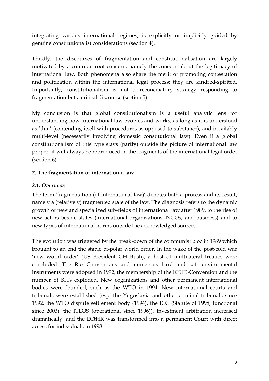integrating various international regimes, is explicitly or implicitly guided by genuine constitutionalist considerations (section 4).

Thirdly, the discourses of fragmentation and constitutionalisation are largely motivated by a common root concern, namely the concern about the legitimacy of international law. Both phenomena also share the merit of promoting contestation and politization within the international legal process; they are kindred-spirited. Importantly, constitutionalism is not a reconciliatory strategy responding to fragmentation but a critical discourse (section 5).

My conclusion is that global constitutionalism is a useful analytic lens for understanding how international law evolves and works, as long as it is understood as 'thin' (contending itself with procedures as opposed to substance), and inevitably multi-level (necessarily involving domestic constitutional law). Even if a global constitutionalism of this type stays (partly) outside the picture of international law proper, it will always be reproduced in the fragments of the international legal order (section 6).

## **2. The fragmentation of international law**

## *2.1. Overview*

The term 'fragmentation (of international law)' denotes both a process and its result, namely a (relatively) fragmented state of the law. The diagnosis refers to the dynamic growth of new and specialized sub-fields of international law after 1989, to the rise of new actors beside states (international organizations, NGOs, and business) and to new types of international norms outside the acknowledged sources.

The evolution was triggered by the break-down of the communist bloc in 1989 which brought to an end the stable bi-polar world order. In the wake of the post-cold war 'new world order' (US President GH Bush), a host of multilateral treaties were concluded: The Rio Conventions and numerous hard and soft environmental instruments were adopted in 1992, the membership of the ICSID-Convention and the number of BITs exploded. New organizations and other permanent international bodies were founded, such as the WTO in 1994. New international courts and tribunals were established (esp. the Yugoslavia and other criminal tribunals since 1992, the WTO dispute settlement body (1994), the ICC (Statute of 1998, functional since 2003), the ITLOS (operational since 1996)). Investment arbitration increased dramatically, and the ECtHR was transformed into a permanent Court with direct access for individuals in 1998.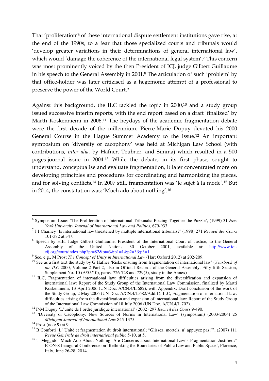That 'proliferation'<sup>6</sup> of these international dispute settlement institutions gave rise, at the end of the 1990s, to a fear that those specialized courts and tribunals would 'develop greater variations in their determinations of general international law', which would 'damage the coherence of the international legal system'.<sup>7</sup> This concern was most prominently voiced by the then President of ICJ, judge Gilbert Guillaume in his speech to the General Assembly in 2001.<sup>8</sup> The articulation of such 'problem' by that office-holder was later critizised as a hegemonic attempt of a professional to preserve the power of the World Court.<sup>9</sup>

Against this background, the ILC tackled the topic in 2000,<sup>10</sup> and a study group issued successive interim reports, with the end report based on a draft 'finalized' by Martti Koskenniemi in 2006.<sup>11</sup> The heydays of the academic fragmentation debate were the first decade of the millennium. Pierre-Marie Dupuy devoted his 2000 General Course in the Hague Summer Academy to the issue.<sup>12</sup> An important symposium on 'diversity or cacophony' was held at Michigan Law School (with contributions, *inter alia*, by Hafner, Teubner, and Simma) which resulted in a 500 pages-journal issue in 2004.<sup>13</sup> While the debate, in its first phase, sought to understand, conceptualise and evaluate fragmentation, it later concentrated more on developing principles and procedures for coordinating and harmonizing the pieces, and for solving conflicts.<sup>14</sup> In 2007 still, fragmentation was 'le sujet à la mode'.<sup>15</sup> But in 2014, the constatation was: 'Much ado about nothing'.<sup>16</sup>

 6 Symposium Issue: 'The Proliferation of International Tribunals: Piecing Together the Puzzle', (1999) 31 *New York University Journal of International Law and Politics*, 679-933.

<sup>7</sup> J I Charney 'Is international law threatened by multiple international tribunals?' (1998) 271 *Recueil des Cours* 101-382 at 347.

<sup>&</sup>lt;sup>8</sup> Speech by H.E. Judge Gilbert Guillaume, President of the International Court of Justice, to the General Assembly of the United Nations, 30 October 2001, available at: http://www.icj $cij.org/court/index.php?pr=82&pt=3&p1=1&p2=3&p3=1.$ 

<sup>9</sup> See, e.g., M Prost *The Concept of Unity in International Law* (Hart Oxford 2012) at 202-209.

<sup>&</sup>lt;sup>10</sup> See as a first text the study by G Hafner 'Risks ensuing from fragmentation of international law' (*Yearbook of the ILC* 2000, Volume 2 Part 2, also in Official Records of the General Assembly, Fifty-fifth Session, Supplement No. 10 (A/55/10), paras. 726-728 and 729(5), study in the Annex)

<sup>&</sup>lt;sup>11</sup> ILC, Fragmentation of international law: difficulties arising from the diversification and expansion of international law: Report of the Study Group of the International Law Commission, finalized by Martti Koskenniemi, 13 April 2006 (UN Doc. A/CN.4/L.682), with Appendix: Draft conclusion of the work of the Study Group, 2 May 2006 (UN Doc. A/CN.4/L.682/Add.1); ILC, Fragmentation of international law: difficulties arising from the diversification and expansion of international law: Report of the Study Group of the International Law Commission of 18 July 2006 (UN Doc. A/CN.4/L.702).

<sup>12</sup> P-M Dupuy 'L'unité de l'ordre juridique international' (2002) 297 *Recueil des Cours* 9-490.

<sup>&</sup>lt;sup>13</sup> 'Diversity or Cacophony: New Sources of Norms in International Law' (symposium) (2003-2004) 25 *Michigan Journal of International Law* 845-1375.

 $14$  Prost (note 9) at 9.

<sup>&</sup>lt;sup>15</sup> B Conforti 'L' Unité et fragmentation du droit international; "Glissez, mortels, n' appuyez pas!"', (2007) 111 *Revue Générale de droit international public* 5-10, at 5.

<sup>&</sup>lt;sup>16</sup> T Meggido 'Much Ado About Nothing: Are Concerns about International Law's Fragmentation Justified?' ICON·S Inaugural Conference on 'Rethinking the Boundaries of Public Law and Public Space', Florence, Italy, June 26-28, 2014.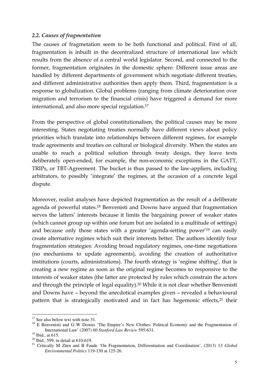#### *2.2. Causes of fragmentation*

The causes of fragmetation seem to be both functional and political. First of all, fragmentation is inbuilt in the decentralized structure of international law which results from the absence of a central world legislator. Second, and connected to the former, fragmentation originates in the domestic sphere: Different issue areas are handled by different departments of government which negotiate different treaties, and different administrative authorities then apply them. Third, fragmentation is a response to globalization. Global problems (ranging from climate deterioration over migration and terrorism to the financial crisis) have triggered a demand for more international, and also more special regulation.<sup>17</sup>

From the perspective of global constitutionalism, the political causes may be more interesting. States negotiating treaties normally have different views about policy priorities which translate into relationships between different regimes, for example trade agreements and treaties on cultural or biological diversity. When the states are unable to reach a political solution through treaty design, they leave texts deliberately open-ended, for example, the non-economic exceptions in the GATT, TRIPs, or TBT-Agreement. The bucket is thus passed to the law-appliers, including arbitrators, to possibly 'integrate' the regimes, at the occasion of a concrete legal dispute.

Moreover, realist analyses have depicted fragmentation as the result of a deliberate agenda of powerful states.<sup>18</sup> Benvenisti and Downs have argued that fragmentation serves the latters' interests because it limits the bargaining power of weaker states (which cannot group up within one forum but are isolated in a multitude of settings) and because only those states with a greater 'agenda-setting power'<sup>19</sup> can easily create alternative regimes which suit their interests better. The authors identify four fragmentation strategies: Avoiding broad regulatory regimes, one-time negotiations (no mechanisms to update agreements), avoiding the creation of authoritative institutions (courts, administrations). The fourth strategy is 'regime shifting', that is creating a new regime as soon as the original regime becomes to responsive to the interests of weaker states (the latter are protected by rules which constrain the actors and through the principle of legal equality).<sup>20</sup> While it is not clear whether Benvenisti and Downs have – beyond the anecdotical examples given – revealed a behavioural pattern that is strategically motivated and in fact has hegemonic effects,<sup>21</sup> their

 $17$  See also below text with note 31.

<sup>&</sup>lt;sup>18</sup> E Benvenisti and G W Downs 'The Empire's New Clothes: Political Economy and the Fragmentation of International Law' (2007) 60 *Stanford Law Review* 595-631.

<sup>&</sup>lt;sup>19</sup> Ibid., at 615.

 $20$  Ibid., 599, in detail at 610-619.

<sup>21</sup> Critically M Zürn and B Faude 'On Fragmentation, Differentiation and Coordination', (2013) 13 *Global Environmental Politics* 119-130 at 125-26.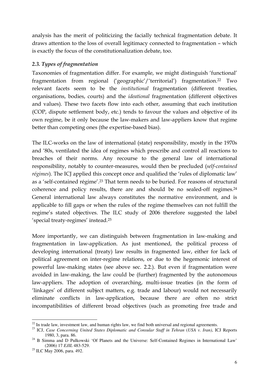analysis has the merit of politicizing the facially technical fragmentation debate. It draws attention to the loss of overall legitimacy connected to fragmentation – which is exactly the focus of the constitutionalization debate, too.

#### *2.3. Types of fragmentation*

Taxonomies of fragmentation differ. For example, we might distinguish 'functional' fragmentation from regional ('geographic'/'territorial') fragmentation.<sup>22</sup> Two relevant facets seem to be the *institutional* fragmentation (different treaties, organisations, bodies, courts) and the *ideational* fragmentation (different objectives and values). These two facets flow into each other, assuming that each institution (COP, dispute settlement body, etc.) tends to favour the values and objective of its own regime, be it only because the law-makers and law-appliers know that regime better than competing ones (the expertise-based bias).

The ILC-works on the law of international (state) responsibility, mostly in the 1970s and '80s, ventilated the idea of regimes which prescribe and control all reactions to breaches of their norms. Any recourse to the general law of international responsibility, notably to counter-measures, would then be precluded (*self-contained régimes*). The ICJ applied this concept once and qualified the 'rules of diplomatic law' as a 'self-contained régime'.<sup>23</sup> That term needs to be buried. For reasons of structural coherence and policy results, there are and should be no sealed-off regimes.<sup>24</sup> General international law always constitutes the normative environment, and is applicable to fill gaps or when the rules of the regime themselves can not fulfill the regime's stated objectives. The ILC study of 2006 therefore suggested the label 'special treaty-regimes' instead.<sup>25</sup>

More importantly, we can distinguish between fragmentation in law-making and fragmentation in law-application. As just mentioned, the political process of developing international (treaty) law results in fragmented law, either for lack of political agreement on inter-regime relations, or due to the hegemonic interest of powerful law-making states (see above sec. 2.2.). But even if fragmentation were avoided in law-making, the law could be (further) fragmented by the autonomous law-appliers. The adoption of overarching, multi-issue treaties (in the form of 'linkages' of different subject matters, e.g. trade and labour) would not necessarily eliminate conflicts in law-application, because there are often no strict incompatibilities of different broad objectives (such as promoting free trade and

 $\overline{a}$  $22$  In trade law, investment law, and human rights law, we find both universal and regional agreements.

<sup>&</sup>lt;sup>23</sup> ICJ, *Case Concerning United States Diplomatic and Consular Staff in Tehran (USA v. Iran)*, ICJ Reports 1980, 3, para. 86.

<sup>&</sup>lt;sup>24</sup> B Simma and D Pulkowski 'Of Planets and the Universe: Self-Contained Regimes in International Law' (2006) 17 *EJIL* 483-529.

<sup>25</sup> ILC May 2006, para. 492.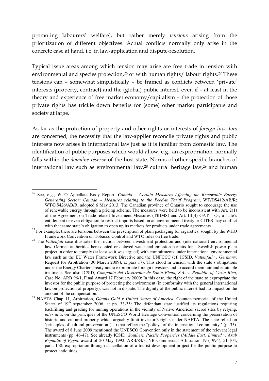promoting labourers' welfare), but rather merely *tensions* arising from the prioritization of different objectives. Actual conflicts normally only arise in the concrete case at hand, i.e. in law-application and dispute-resolution.

Typical issue areas among which tension may arise are free trade in tension with environmental and species protection,<sup>26</sup> or with human rights/ labour rights.<sup>27</sup> These tensions can – somewhat simplistically – be framed as conflicts between 'private' interests (property, contract) and the (global) public interest, even if – at least in the theory and experience of free market economy/capitalism – the protection of those private rights has trickle down benefits for (some) other market participants and society at large.

As far as the protection of property and other rights or interests of *foreign investors* are concerned, the necessity that the law-applier reconcile private rights and public interests now arises in international law just as it is familiar from domestic law. The identification of public purposes which would allow, e.g., an expropriation, normally falls within the *domaine réservé* of the host state. Norms of other specific branches of international law such as environmental law,<sup>28</sup> cultural heritage law,<sup>29</sup> and human

 $\overline{a}$ <sup>26</sup> See, e.g., WTO Appellate Body Report, *Canada – Certain Measures Affecting the Renewable Energy Generating Sector; Canada – Measures relating to the Feed-in Tariff Program*, WT/DS412/AB/R; WT/DS426/AB/R, adopted 6 May 2013. The Canadian province of Ontario sought to encourage the use of renewable energy through a pricing scheme. The measures were held to be inconsistent with Art. 2(1) of the Agreement on Trade-related Investment Measures (TRIMS) and Art. III(4) GATT. Or, a state's entitlement or even obligation to restrict imports based on an environmental treaty or CITES may conflict with that same state's obligation to open up its markets for products under trade agreements.

 $^{27}$  For example, there are tensions between the prescription of plain packaging for cigarettes, sought by the WHO Framework Convention on Tobacco Control and WTO rules on free trade.

<sup>&</sup>lt;sup>28</sup> The *Vattenfall* case illustrates the friction between investment protection and (international) environmental law. German authorities here denied or delayed water and emission permits for a Swedish power plant project in order to comply (at least so it was argued) with commitments under international environmental law such as the EU Water Framework Directive and the UNFCCC (cf. ICSID, *Vattenfall v. Germany,*  Request for Arbitration (30 March 2009), at para 17). This stood in tension with the state's obligations under the Energy Charter Treaty not to expropriate foreign investors and to accord them fair and equitable treatment. See also ICSID, *Compania del Desarrollo de Santa Elena, S.A. v. Republic of Costa Rica*, Case No. ARB 96/1, Final Award 17 February 2000: In this case, the right of the state to expropriate the investor for the public purpose of protecting the environment (in conformity with the general international law on protection of property), was not in dispute. The dignity of the public interest had no impact on the amount of the compensation.

<sup>&</sup>lt;sup>29</sup> NAFTA Chap 11, Arbitration, *Glamis Gold v United States of America*, Counter-memorial of the United States of  $19<sup>th</sup>$  september 2006, at pp. 33-35: The defendant state justified its regulations requiring backfilling and grading for mining operations in the vicinity of Native American sacred sites by relying, *inter alia*, on the principles of the UNESCO World Heritage Convention concerning the preservation of historic and cultural property which arguably limit investor's rights under NAFTA. The state relied on 'principles of cultural preservation (…) that reflect the "policy" of the international community.' (p. 35). The award of 8 June 2009 mentioned the UNESCO Convention only in the statement of the relevant legal instruments (pp. 46-47). See already ICSID, *Southern Pacific Properties (Middle East) Limited v. Arab Republic of Egypt*, award of 20 May 1992, ARB/84/3, YB Commercial Arbitration 19 (1994), 51-104, para. 158: expropriation through cancellation of a tourist development project for the public purpose to protect antiquities.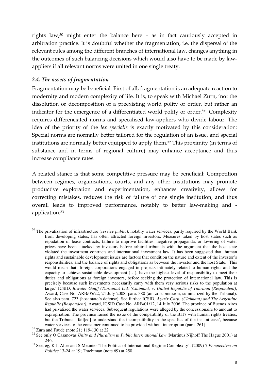rights law,<sup>30</sup> might enter the balance here – as in fact cautiously accepted in arbitration practice. It is doubtful whether the fragmentation, i.e. the dispersal of the relevant rules among the different branches of international law, changes anything in the outcomes of such balancing decisions which would also have to be made by lawappliers if all relevant norms were united in one single treaty.

# *2.4. The assets of fragmentation*

Fragmentation may be beneficial. First of all, fragmentation is an adequate reaction to modernity and modern complexity of life. It is, to speak with Michael Zürn, 'not the dissolution or decomposition of a preexisting world polity or order, but rather an indicator for the emergence of a differentiated world polity or order.'<sup>31</sup> Complexity requires differenciated norms and specalised law-appliers who divide labour. The idea of the priority of the *lex specialis* is exactly motivated by this consideration: Special norms are normally better tailored for the regulation of an issue, and special institutions are normally better equipped to apply them.<sup>32</sup> This proximity (in terms of substance and in terms of regional culture) may enhance acceptance and thus increase compliance rates.

A related stance is that some competitive pressure may be beneficial: Competition between regimes, organisations, courts, and any other institutions may promote productive exploration and experimentation, enhances creativity, allows for correcting mistakes, reduces the risk of failure of one single institution, and thus overall leads to improved performance, notably to better law-making and application.<sup>33</sup>

 $\overline{a}$ <sup>30</sup> The privatization of infrastructure (*service public*), notably water services, partly required by the World Bank from developing states, has often attracted foreign investors. Measures taken by host states such as repudation of lease contracts, failure to improve facilities, negative propaganda, or lowering of water prices have been attacked by investors before arbitral tribunals with the argument that the host state violated the investment contracts and international investment law. It has been suggested that 'human rights and sustainable development issues are factors that condition the nature and extent of the investor's responsibilities, and the balance of rights and obligations as between the investor and the host State.' This would mean that 'foreign corporations engaged in projects intimately related to human rights and the capacity to achieve sustainable development (…), have the highest level of responsibility to meet their duties and obligations as foreign investors, before seeking the protection of international law. This is precisely because such investments necessarily carry with them very serious risks to the population at large.' ICSID, *Biwater Gauff (Tanzania) Ltd. (Claimant) v. United Republic of Tanzania (Respondent)*, Award, Case No. ARB/05/22, 24 July 2008, para. 380 (amici submission, summarized by the Tribunal). See also para. 723 (host state's defense). See further ICSID, *Azurix Corp. (Claimant) and The Argentine Republic (Respondent)*, Award, ICSID Case No. ARB/01/12, 14 July 2006. The province of Buenos Aires had privatized the water services. Subsequent regulations were alleged by the concessionaire to amount to expropriation. The province raised the issue of the compatibility of the BITs with human rights treaties, but the Tribunal 'fail[ed] to understand the incompatibility in the specifics of the instant case', because water services to the consumer continued to be provided without interruption (para. 261).

 $31$  Zürn and Faude (note 21) 119-130 at 22.

<sup>&</sup>lt;sup>32</sup> See only O Casanovas *Unity and Pluralism in Public International Law* (Martinus Nijhoff The Hague 2001) at 246.

<sup>33</sup> See, eg, K J. Alter and S Meunier 'The Politics of International Regime Complexity', (2009) 7 *Perspectives on Politics* 13-24 at 19; Trachtman (note 69) at 250.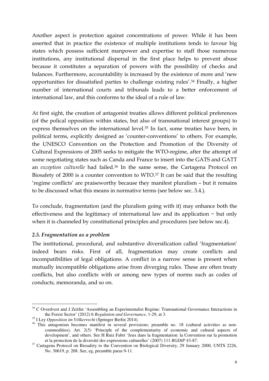Another aspect is protection against concentrations of power. While it has been asserted that in practice the existence of multiple institutions tends to favour big states which possess sufficient manpower and expertise to staff those numerous institutions, any institutional dispersal in the first place helps to prevent abuse because it constitutes a separation of powers with the possibility of checks and balances. Furthermore, accountability is increased by the existence of more and 'new opportunities for dissatisfied parties to challenge existing rules'.<sup>34</sup> Finally, a higher number of international courts and tribunals leads to a better enforcement of international law, and this conforms to the ideal of a rule of law.

At first sight, the creation of antagonist treaties allows different political preferences (of the polical opposition within states, but also of transnational interest groups) to express themselves on the international level.<sup>35</sup> In fact, some treaties have been, in political terms, explicitly designed as 'counter-conventions' to others. For example, the UNESCO Convention on the Protection and Promotion of the Diversity of Cultural Expressions of 2005 seeks to mitigate the WTO-regime, after the attempt of some negotiating states such as Canda and France to insert into the GATS and GATT an *exception culturelle* had failed.<sup>36</sup> In the same sense, the Cartagena Protocol on Biosafety of 2000 is a counter convention to WTO.<sup>37</sup> It can be said that the resulting 'regime conflicts' are praiseworthy because they manifest pluralism – but it remains to be discussed what this means in normative terms (see below sec. 3.4.).

To conclude, fragmentation (and the pluralism going with it) may enhance both the effectiveness and the legitimacy of international law and its application − but only when it is channeled by constitutional principles and procedures (see below sec.4).

#### *2.5. Fragmentation as a problem*

The institutional, procedural, and substantive diversification called 'fragmentation' indeed bears risks. First of all, fragmentation may create conflicts and incompatibilities of legal obligations. A conflict in a narrow sense is present when mutually incompatible obligations arise from diverging rules. These are often treaty conflicts, but also conflicts with or among new types of norms such as codes of conducts, memoranda, and so on.

 $\overline{a}$ <sup>34</sup> C Overdvest and J Zeitlin 'Assembling an Experimentalist Regime: Transnational Governance Interactions in the Forest Sector' (2012) 6 *Regulation and Governance*, 1-29, at 3.

<sup>35</sup> I Ley *Opposition im Völkerrecht* (Springer Berlin 2014).

<sup>&</sup>lt;sup>36</sup> This antagonism becomes manifest in several provisions; preamble no. 18 (cultural activities as noncommodities), Art. 2(5) 'Principle of the complementarity of economic and cultural aspects of development', and others. See H Ruiz Fabri 'Jeux dans la fragmentation: la Convention sur la promotion et la protection de la diversité des expressions culturelles' (2007) 111 *RGDIP* 43-87.

<sup>&</sup>lt;sup>37</sup> Cartagena Protocol on Biosafety to the Convention on Biological Diversity, 29 January 2000, UNTS 2226, No. 30619, p. 208. See, eg, preamble paras 9-11.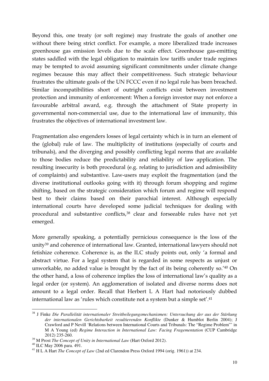Beyond this, one treaty (or soft regime) may frustrate the goals of another one without there being strict conflict. For example, a more liberalized trade increases greenhouse gas emission levels due to the scale effect. Greenhouse gas-emitting states saddled with the legal obligation to maintain low tariffs under trade regimes may be tempted to avoid assuming significant commitments under climate change regimes because this may affect their competitiveness. Such strategic behaviour frustrates the ultimate goals of the UN FCCC even if no legal rule has been breached. Similar incompatibilities short of outright conflicts exist between investment protection and immunity of enforcement: When a foreign investor may not enforce a favourable arbitral award, e.g. through the attachment of State property in governmental non-commercial use, due to the international law of immunity, this frustrates the objectives of international investment law.

Fragmentation also engenders losses of legal certainty which is in turn an element of the (global) rule of law. The multiplicity of institutions (especially of courts and tribunals), and the diverging and possibly conflicting legal norms that are available to those bodies reduce the predictability and reliability of law application. The resulting insecurity is both procedural (e.g. relating to jurisdiction and admissibility of complaints) and substantive. Law-users may exploit the fragmentation (and the diverse institutional outlooks going with it) through forum shopping and regime shifting, based on the strategic consideration which forum and regime will respond best to their claims based on their parochial interest. Although especially international courts have developed some judicial techniques for dealing with procedural and substantive conflicts,<sup>38</sup> clear and forseeable rules have not yet emerged.

More generally speaking, a potentially pernicious consequence is the loss of the unity<sup>39</sup> and coherence of international law. Granted, international lawyers should not fetishize coherence. Coherence is, as the ILC study points out, only 'a formal and abstract virtue. For a legal system that is regarded in some respects as unjust or unworkable, no added value is brought by the fact of its being coherently so.'<sup>40</sup> On the other hand, a loss of coherence implies the loss of international law's quality as a legal order (or system). An agglomeration of isolated and diverse norms does not amount to a legal order. Recall that Herbert L A Hart had notoriously dubbed international law as 'rules which constitute not a system but a simple set'.<sup>41</sup>

<sup>38</sup> J Finke *Die Parallelität internationaler Streitbeilegungsmechanismen: Untersuchung der aus der Stärkung der internationalen Gerichtsbarkeit resultierenden Konflikte* (Dunker & Humblot Berlin 2004); J Crawford and P Nevill 'Relations between International Courts and Tribunals: The "Regime Problem"' in M A Young (ed) *Regime Interaction in International Law: Facing Fragementation* (CUP Cambridge 2012) 235-260.

<sup>39</sup> M Prost *The Concept of Unity in International Law* (Hart Oxford 2012).

<sup>40</sup> ILC May 2006 para. 491.

<sup>&</sup>lt;sup>41</sup> H L A Hart *The Concept of Law* (2nd ed Clarendon Press Oxford 1994 (orig. 1961)) at 234.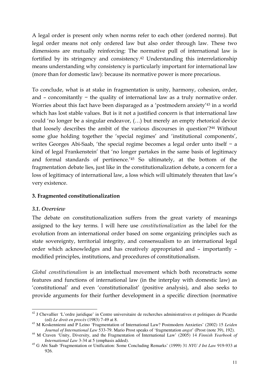A legal order is present only when norms refer to each other (ordered norms). But legal order means not only ordered law but also order through law. These two dimensions are mutually reinforcing: The normative pull of international law is fortified by its stringency and consistency.<sup>42</sup> Understanding this interrelationship means understanding why consistency is particularly important for international law (more than for domestic law): because its normative power is more precarious.

To conclude, what is at stake in fragmentation is unity, harmony, cohesion, order, and – concomitantly − the quality of international law as a truly normative order. Worries about this fact have been disparaged as a 'postmodern anxiety'<sup>43</sup> in a world which has lost stable values. But is it not a justified concern is that international law could 'no longer be a singular endeavor, (…) but merely an empty rhetorical device that loosely describes the ambit of the various discourses in question'?<sup>44</sup> Without some glue holding together the 'special regimes' and 'institutional components', writes Georges Abi-Saab, 'the special regime becomes a legal order unto itself − a kind of legal Frankenstein' that 'no longer partakes in the same basis of legitimacy and formal standards of pertinence.'<sup>45</sup> So ultimately, at the bottom of the fragmentation debate lies, just like in the constitutionalization debate, a concern for a loss of legitimacy of international law, a loss which will ultimately threaten that law's very existence.

#### **3. Fragmented constitutionalization**

#### *3.1. Overview*

The debate on constitutionalization suffers from the great variety of meanings assigned to the key terms. I will here use *constitutionalization* as the label for the evolution from an international order based on some organizing principles such as state sovereignty, territorial integrity, and consensualism to an international legal order which acknowledges and has creatively appropriated and – importantly – modified principles, institutions, and procedures of constitutionalism.

*Global constitutionalism* is an intellectual movement which both reconstructs some features and functions of international law (in the interplay with domestic law) as 'constitutional' and even 'constitutionalist' (positive analysis), and also seeks to provide arguments for their further development in a specific direction (normative

 $\overline{a}$ <sup>42</sup> J Chevallier 'L'ordre juridique' in Centre universitaire de recherches administratives et politiques de Picardie (ed) *Le droit en procès* (1983) 7-49 at 8.

<sup>43</sup> M Koskenniemi and P Leino 'Fragmentation of International Law? Postmodern Anxieties' (2002) 15 *Leiden Journal of International Law* 533-79. Mario Prost speaks of 'fragmentation *angst*' (Prost (note 39), 192).

<sup>44</sup> M Craven 'Unity, Diversity, and the Fragmentation of International Law' (2005) 14 *Finnish Yearbook of International Law* 3-34 at 5 (emphasis added).

<sup>45</sup> G Abi Saab 'Fragmentation or Unification: Some Concluding Remarks' (1999) 31 *NYU J Int Law* 919-933 at 926.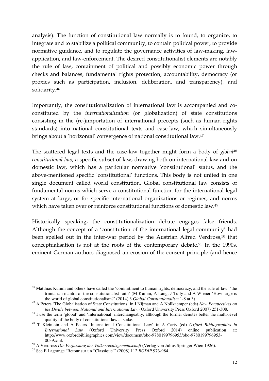analysis). The function of constitutional law normally is to found, to organize, to integrate and to stabilize a political community, to contain political power, to provide normative guidance, and to regulate the governance activities of law-making, lawapplication, and law-enforcement. The desired constitutionalist elements are notably the rule of law, containment of political and possibly economic power through checks and balances, fundamental rights protection, accountability, democracy (or proxies such as participation, inclusion, deliberation, and transparency), and solidarity.<sup>46</sup>

Importantly, the constitutionalization of international law is accompanied and coconstituted by the *internationalization* (or globalization) of state constitutions consisting in the (re-)importation of international precepts (such as human rights standards) into national constitutional texts and case-law, which simultaneously brings about a 'horizontal' convergence of national constitutional law.<sup>47</sup>

The scattered legal texts and the case-law together might form a body of *global*<sup>48</sup> *constitutional law*, a specific subset of law, drawing both on international law and on domestic law, which has a particular normative 'constitutional' status, and the above-mentioned specific 'constitutional' functions. This body is not united in one single document called world constitution. Global constitutional law consists of fundamental norms which serve a constitutional function for the international legal system at large, or for specific international organizations or regimes, and norms which have taken over or reinforce constitutional functions of domestic law.<sup>49</sup>

Historically speaking, the constitutionalization debate engages false friends. Although the concept of a 'constitution of the international legal community' had been spelled out in the inter-war period by the Austrian Alfred Verdross,<sup>50</sup> that conceptualisation is not at the roots of the contemporary debate.<sup>51</sup> In the 1990s, eminent German authors diagnosed an erosion of the consent principle (and hence

 $\overline{a}$ <sup>46</sup> Matthias Kumm and others have called the 'commitment to human rights, democracy, and the rule of law' 'the trinitarian mantra of the constitutionalist faith' (M Kumm, A Lang, J Tully and A Wiener 'How large is the world of global constitutionalism?' (2014) 3 *Global Constitutionalism* 1-8 at 3).

<sup>47</sup> A Peters 'The Globalisation of State Constitutions' in J Nijman and A Nollkaemper (eds) *New Perspectives on the Divide between National and International Law* (Oxford University Press Oxford 2007) 251-308.

<sup>&</sup>lt;sup>48</sup> I use the term 'global' and 'international' interchangeably, although the former denotes better the multi-level quality of the body of constitutional law at stake.

<sup>49</sup> T Kleinlein and A Peters 'International Constitutional Law' in A Carty (ed) *Oxford Bibliographies in International Law* (Oxford University Press Oxford 2014) online publication at: http://www.oxfordbibliographies.com/view/document/obo-9780199796953/obo-9780199796953- 0039.xml.

<sup>50</sup> A Verdross *Die Verfassung der Völkerrechtsgemeinschaft* (Verlag von Julius Springer Wien 1926).

<sup>51</sup> See E Lagrange 'Retour sur un "Classique"' (2008) 112 *RGDIP* 973-984.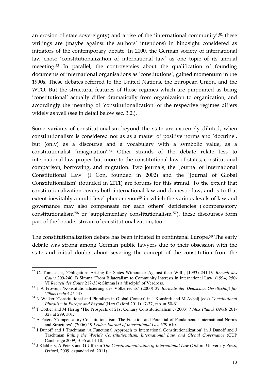an erosion of state sovereignty) and a rise of the 'international community';<sup>52</sup> these writings are (maybe against the authors' intentions) in hindsight considered as initiators of the contemporary debate. In 2000, the German society of international law chose 'constitutionalization of international law' as one topic of its annual meeeting.<sup>53</sup> In parallel, the controversies about the qualification of founding documents of international organisations as 'constitutions', gained momentum in the 1990s. These debates referred to the United Nations, the European Union, and the WTO. But the structural features of those regimes which are pinpointed as being 'constitutional' actually differ dramatically from organization to organization, and accordingly the meaning of 'constitutionalization' of the respective regimes differs widely as well (see in detail below sec. 3.2.).

Some variants of constitutionalism beyond the state are extremely diluted, when constitutionalism is considered not as as a matter of positive norms and 'doctrine', but (only) as a discourse and a vocabulary with a symbolic value, as a constitutionalist 'imagination'.<sup>54</sup> Other strands of the debate relate less to international law proper but more to the constitutional law of states, constitutional comparison, borrowing, and migration. Two journals, the 'Journal of International Constitutional Law' (I Con, founded in 2002) and the 'Journal of Global Constitutionalism' (founded in 2011) are forums for this strand. To the extent that constitutionalization covers both international law and domestic law, and is to that extent inevitably a multi-level phenomenon<sup>55</sup> in which the various levels of law and governance may also compensate for each others' deficiencies ('compensatory constitutionalism'<sup>56</sup> or 'supplementary constitutionalism'<sup>57</sup>), these discourses form part of the broader stream of constitutionalization, too.

The constitutionalization debate has been initiated in contintenal Europe.<sup>58</sup> The early debate was strong among German public lawyers due to their obsession with the state and initial doubts about severing the concept of the constitution from the

 $\overline{a}$ <sup>52</sup> C. Tomuschat, 'Obligations Arising for States Without or Against their Will', (1993) 241-IV *Recueil des Cours* 209-240; B Simma 'From Bilateralism to Community Interests in International Law' (1994) 250- VI *Recueil des Cours* 217-384; Simma is a 'disciple' of Verdross.

<sup>53</sup> J A Frowein 'Konstitutionalisierung des Völkerrechts' (2000) 39 *Berichte der Deutschen Gesellschaft für Völkerrecht* 427-447.

<sup>54</sup> N Walker 'Constitutional and Pluralism in Global Context' in J Komárek and M Avbelj (eds) *Constitutional Pluralism in Europe and Beyond* (Hart Oxford 2011) 17-37, esp. at 50-61.

<sup>55</sup> T Cottier and M Hertig 'The Prospects of 21st Century Constitutionalism', (2003) 7 *Max Planck UNYB* 261- 328 at 299, 301.

<sup>&</sup>lt;sup>56</sup> A Peters 'Compensatory Constitutionalism: The Function and Potential of Fundamental International Norms and Structures', (2006) 19 *Leiden Journal of International Law* 579-610.

<sup>&</sup>lt;sup>57</sup> J Dunoff and J Trachtman 'A Functional Approach to International Constitutionalization' in J Dunoff and J Trachtman *Ruling the World? Constitutionalism, International Law, and Global Governance* (CUP Cambridge 2009) 3-35 at 14-18.

<sup>58</sup> J Klabbers, A Peters and G Ulfstein *The Constitutionalization of International Law* (Oxford University Press, Oxford, 2009, expanded ed. 2011).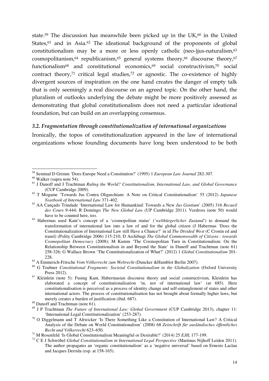state.<sup>59</sup> The discussion has meanwhile been picked up in the UK, $^{60}$  in the United States,<sup>61</sup> and in Asia.<sup>62</sup> The ideational background of the proponents of global constitutionalism may be a more or less openly catholic (neo-)jus-naturalism,<sup>63</sup> cosmopolitanism, $64$  republicanism, $65$  general systems theory, $66$  discourse theory, $67$ functionalism<sup>68</sup> and constitutional economics,<sup>69</sup> social constructivism,<sup>70</sup> social contract theory,<sup>71</sup> critical legal studies,<sup>72</sup> or agnostic. The co-existence of highly divergent sources of inspiration on the one hand creates the danger of empty talk that is only seemingly a real discourse on an agreed topic. On the other hand, the pluralism of outlooks underlying the debate might be more positively assessed as demonstrating that global constitutionalism does not need a particular ideational foundation, but can build on an overlapping consensus.

#### *3.2. Fragmentation through constitutionalization of international organizations*

Ironically, the topos of constitutionalization appeared in the law of international organizations whose founding documents have long been understood to be both

 $\overline{a}$ <sup>59</sup> Seminal D Grimm 'Does Europe Need a Constitution?' (1995) 1 *European Law Journal* 282-307.

 $60$  Walker (supra note 54).

<sup>61</sup> J Dunoff and J Trachtman *Ruling the World? Constitutionalism, International Law, and Global Governance* (CUP Cambridge 2009).

<sup>62</sup> T Mogame 'Towards Jus Contra Oligarchiam: A Note on Critical Constitutionalism' 55 (2012) *Japanese Yearbook of International Law* 371-402.

<sup>63</sup> AA Cançado Trindade 'International Law for Humankind: Towards a New *Jus Gentium*' (2005) 316 *Recueil des Cours* 9-444; R Domingo *The New Global Law* (UP Cambridge 2011). Verdross (note 50) would have to be counted here, too.

<sup>64</sup> Habermas used Kant's concept of a 'cosmopolitan status' ('*weltbürgerlicher Zustand*') to demand the transformation of international law into a law of and for the global citizen (J Habermas 'Does the Constitutionalization of International Law still Have a Chance?' in id *The Divided West* (C Cronin ed and transl) (Polity Cambridge 2006) 115-210; D Archibugi *The Global Commonwealth of Citizens : towards Cosmopolitan Democracy* (2008); M Kumm 'The Cosmopolitan Turn in Constitutionalism: On the Relationship Between Constitutionalism in and Beyond the State' in Dunoff and Trachtman (note 61) 258-326; G Wallace Brown 'The Constitutionalization of What?' (2012) 1 *Global Constitutionalism* 201- 228.

<sup>65</sup> A Emmerich-Fritsche *Vom Völkerrecht zum Weltrecht* (Duncker &Humblot Berlin 2007).

<sup>&</sup>lt;sup>66</sup> G Teubner *Constitutional Fragments: Societal Constitutionalism in the Globalization* (Oxford University Press 2012).

<sup>&</sup>lt;sup>67</sup> Kleinlein (note 5): Fusing Kant, Habermasian discourse theory and social constructivism, Kleinlein has elaborated a concept of constitutionalisation 'in, not of international law' (at 685). Here constitutionalisation is perceived as a process of identity change and self-entanglement of states and other international actors. The process of constitutionalisation has not brought about formally higher laws, but merely creates a burden of justification (ibid. 687).

 $68$  Dunoff and Trachtman (note 61).

<sup>69</sup> J P Trachtman *The Future of International Law: Global Government* (CUP Cambridge 2013), chapter 11: 'International Legal Constitutionalization' (253-287).

<sup>70</sup> O Diggelmann and T Altwicker 'Is There Something Like a Constitution of International Law? A Critical Analysis of the Debate on World Constitutionalism' (2008) 68 *Zeitschrift für ausländisches öffentliches Recht und Völkerrecht* 623–650.

<sup>71</sup> M Rosenfeld 'Is Global Constitutionalism Meaningful or Desirable?' (2014) 25 *EJIL* 177-199.

<sup>72</sup> C E J Schwöbel *Global Constitutionalism in International Legal Perspective* (Martinus Nijhoff Leiden 2011). The author propagates an 'organic constitutionalism' as a 'negative universal' based on Ernesto Laclau and Jacques Derrida (esp. at 158-165).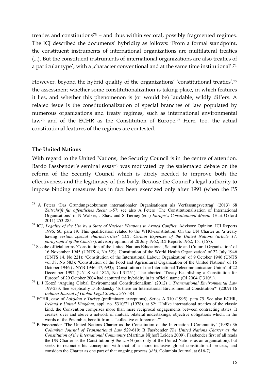treaties and constitutions<sup>73</sup> − and thus within sectoral, possibly fragmented regimes. The ICJ described the documents' hybridity as follows: 'From a formal standpoint, the constituent instruments of international organizations are multilateral treaties (...). But the constituent instruments of international organizations are also treaties of a particular type', with a , character conventional and at the same time institutional'.<sup>74</sup>

However, beyond the hybrid quality of the organizations' 'constitutional treaties',<sup>75</sup> the assessment whether some constitutionalization is taking place, in which features it lies, and whether this phenomenon is (or would be) laudable, wildly differs. A related issue is the constitutionalization of special branches of law populated by numerous organizations and treaty regimes, such as international environmental law<sup>76</sup> and of the ECHR as the Constitution of Europe.<sup>77</sup> Here, too, the actual constitutional features of the regimes are contested.

#### **The United Nations**

With regard to the United Nations, the Security Council is in the centre of attention. Bardo Fassbender's seminal essay<sup>78</sup> was motivated by the stalemated debate on the reform of the Security Council which is direly needed to improve both the effectiveness and the legitimacy of this body. Because the Council's legal authority to impose binding measures has in fact been exercized only after 1991 (when the P5

 $\overline{a}$ <sup>73</sup> A Peters 'Das Gründungsdokument internationaler Organisationen als Verfassungsvertrag' (2013) 68 *Zeitschrift für öffentliches Recht* 1-57; see also A Peters 'The Constitutionalisation of International Organisations' in N Walker, J Shaw and S Tierney (eds) *Europe's Constitutional Mosaic* (Hart Oxford 2011) 253-285.

<sup>&</sup>lt;sup>74</sup> ICJ, *Legality of the Use by a State of Nuclear Weapons in Armed Conflict*, Advisory Opinion, ICJ Reports 1996, 66, para 19. This qualification related to the WHO-constitution. On the UN Charter as 'a treaty having *certain special characteristics*' (ICJ, *Certain Expenses of the Untied Nations (article 17, paragraph 2 of the Charter*), advisory opinion of 20 July 1962, ICJ Reports 1962, 151 (157).

<sup>&</sup>lt;sup>75</sup> See the official terms 'Constitution of the United Nations Educational, Scientific and Cultural Organization' of 16 November 1945 (UNTS 4, No 52); 'Constitution of the World Health Organization' of 22 July 1946 (UNTS 14, No 221); 'Constitution of the International Labour Organization' of 9 October 1946 (UNTS vol 38, No 583); 'Constitution of the Food and Agricultural Organization of the United Nations' of 16 October 1946 (UNYB 1946–47, 693); 'Constitution of the International Telecommunication Union' of 22 December 1992 (UNTS vol 1825, No I-31251). The aborted 'Treaty Establishing a Constitution for Europe' of 29 October 2004 had captured the hybridity in its official name (OJ 2004 C 310/1).

<sup>76</sup> L J Kotzé 'Arguing Global Environmental Constitutionalism' (2012) 1 *Transnational Environmental Law* 199-233. See sceptically D Bodansky 'Is there an International Environmental Constitution?' (2009) 16 *Indiana Journal of Global Legal Studies* 565-584.

<sup>77</sup> ECHR, case of *Loizidou v Turkey* (preliminary exceptions), Series A 310 (1995), para 75. See also ECHR, *Ireland v United Kingdom,* appl. no. 5310/71 (1978), at 82: 'Unlike international treaties of the classic kind, the Convention comprises more than mere reciprocal engagements between contracting states. It creates, over and above a network of mutual, bilateral undertakings, objective obligations which, in the words of the Preamble, benefit from a "collective enforcement"'.

<sup>&</sup>lt;sup>78</sup> B Fassbender 'The United Nations Charter as the Constitution of the International Community' (1998) 36 *Columbia Journal of Transnational Law* 529-619; B Fassbender *The United Nations Charter as the Constitution of the International Community* (Martinus Nijhoff Leiden 2009). Fassbender first of all reads the UN Charter as the Constitution *of the world* (not only of the United Nations as an organisation), but seeks to reconcile his conception with that of a more inclusive global constitutional process, and considers the Charter as one part of that ongoing process (*ibid*, Columbia Journal, at 616-7).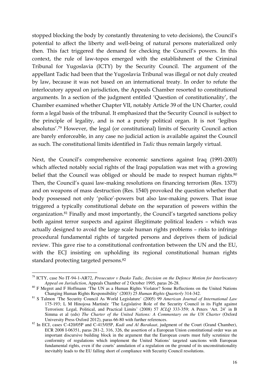stopped blocking the body by constantly threatening to veto decisions), the Council's potential to affect the liberty and well-being of natural persons materialized only then. This fact triggered the demand for checking the Council's powers. In this context, the rule of law-topos emerged with the establishment of the Criminal Tribunal for Yugoslavia (ICTY) by the Security Council. The argument of the appellant Tadic had been that the Yugoslavia Tribunal was illegal or not duly created by law, because it was not based on an international treaty. In order to refute the interlocutory appeal on jurisdiction, the Appeals Chamber resorted to constitutional arguments. In a section of the judgment entitled 'Question of constitutionality', the Chamber examined whether Chapter VII, notably Article 39 of the UN Charter, could form a legal basis of the tribunal. It emphasized that the Security Council is subject to the principle of legality, and is not a purely political organ. It is not 'legibus absolutus'.<sup>79</sup> However, the legal (or constitutional) limits of Security Council action are barely enforceable, in any case no judicial action is available against the Council as such. The constitutional limits identified in *Tadic* thus remain largely virtual.

Next, the Council's comprehensive economic sanctions against Iraq (1991-2003) which affected notably social rights of the Iraqi population was met with a growing belief that the Council was obliged or should be made to respect human rights.<sup>80</sup> Then, the Council's quasi law-making resolutions on financing terrorism (Res. 1373) and on weapons of mass destruction (Res. 1540) provoked the question whether that body possessed not only 'police'-powers but also law-making powers. That issue triggered a typically constitutional debate on the separation of powers within the organization.<sup>81</sup> Finally and most importantly, the Council's targeted sanctions policy both against terror suspects and against illegitimate political leaders – which was actually designed to avoid the large scale human rights problems – risks to infringe procedural fundamental rights of targeted persons and deprives them of judicial review. This gave rise to a constitutional confrontation between the UN and the EU, with the ECJ insisting on upholding its regional constitutional human rights standard protecting targeted persons.<sup>82</sup>

<sup>79</sup> ICTY, case No IT-94-1-AR72, *Prosecutor v Dusko Tadic, Decision on the Defence Motion for Interlocutory Appeal on Jurisdiction*, Appeals Chamber of 2 October 1995, paras 26-28.

<sup>&</sup>lt;sup>80</sup> F Megret and F Hoffmann 'The UN as a Human Rights Violator? Some Reflections on the United Nations Changing Human Rights Responsibility' (2003) 25 *Human Rights Quarterly* 314-342.

<sup>81</sup> S Talmon 'The Security Council As World Legislature' (2005) 99 *American Journal of International Law* 175-193; L M Hinojosa Martinéz 'The Legislative Role of the Security Council in its Fight against Terrorism: Legal, Political, and Practical Limits' (2008) 57 *ICLQ* 333-359; A Peters 'Art. 24' in B Simma et al (eds) *The Charter of the United Nations: A Commentary on the UN Charter* (Oxford University Press Oxford 2012), paras 66-80 with further references.

<sup>82</sup> In ECJ, cases C-420/05P and C-415/05P, *Kadi and Al Barakaat*, judgment of the Court (Grand Chamber), ECR 2008 I-06351, paras 281-2, 316, 326, the assertion of a European Union constitutional order was an important discursive building block in the argument that the European courts must fully scrutinize the conformity of regulations which implement the United Nations' targeted sanctions with European fundamental rights, even if the courts' annulation of a regulation on the ground of its unconstitutionality inevitably leads to the EU falling short of compliance with Security Council resolutions.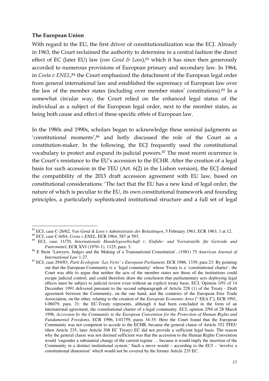#### **The European Union**

With regard to the EU, the first driver of constitutionalization was the ECJ. Already in 1963, the Court reclaimed the authority to determine in a central fashion the direct effect of EC (later EU) law (*van Gend & Loos*),<sup>83</sup> which it has since then generously accorded to numerous provisions of European primary and secondary law. In 1964, in *Costa v ENEL*, <sup>84</sup> the Court emphasized the detachment of the European legal order from general international law and established the supremacy of European law over the law of the member states (including over member states' constitutions).<sup>85</sup> In a somewhat circular way, the Court relied on the enhanced legal status of the individual as a subject of the European legal order, next to the member states, as being both cause and effect of these specific effets of European law.

In the 1980s and 1990s, scholars began to acknowledge these seminal judgments as 'constitutional moments',<sup>86</sup> and hotly discussed the role of the Court as a constitution-maker. In the following, the ECJ frequently used the constitutional vocabulary to protect and expand its judicial powers.<sup>87</sup> The most recent ocurrence is the Court's resistance to the EU's accession to the ECHR. After the creation of a legal basis for such accession in the TEU (Art. 6(2) in the Lisbon version), the ECJ denied the compatibility of the 2013 draft accession agreement with EU law, based on constitutional considerations: 'The fact that the EU has a new kind of legal order, the nature of which is peculiar to the EU, its own constitutional framework and founding principles, a particularly sophisticated institutional structure and a full set of legal

 $\overline{a}$ <sup>83</sup> ECJ, case C-26/62, *Van Gend & Loos v Administratie der Belastingen*, 5 February 1963, ECR 1963, 1 at 12.

<sup>84</sup> ECJ, case C-6/64, *Costa v ENEL*, ECR 1964, 587 at 593.

<sup>85</sup> ECJ, case 11/70, *Internationale Handelsgesellschaft v. Einfuhr- und Vorratsstelle für Getreide und Futtermittel*, ECR XVI (1970–1), 1125, para. 3.

<sup>86</sup> E Stein 'Lawyers, Judges and the Making of a Transnational Constitution', (1981) 75 *American Journal of International Law* 1-27.

<sup>87</sup> ECJ, case 294/83, *Parti Ecologiste 'Les Verts' v European Parliament*, ECR 1986, 1339, para 23: By pointing out that the European Community is a 'legal community' whose Treaty is a 'constitutional charter', the Court was able to argue that neither the acts of the member states nor those of the institutions could escape judicial control, and could therefore draw the conclusion that parliamentary acts deploying legal effects must be subject to judicial review even without an explicit treaty basis. ECJ, Opinion 1/91 of 14 December 1991 delivered pursuant to the second subparagraph of Article 228 (1) of the Treaty - Draft agreement between the Community, on the one hand, and the countries of the European Free Trade Association, on the other, relating to the creation of the *European Economic Area* [" EEA I"], ECR 1991, I-06079, para. 21: the EC-Treaty represents, although it had been concluded in the form of an international agreement, the constitutional charter of a legal community. ECJ, opinion 2/94 of 28 March 1996, *Accession by the Community to the European Convention for the Protection of Human Rights and Fundamental Freedoms*, ECR 1996, I-01759, paras 34-35: Here the Court found that the European Community was not competent to accede to the ECHR, because the general clause of Article 352 TFEU (then Article 235, later Article 308 EC Treaty) EC did not provide a sufficient legal basis. The reason why the general clause was not deemed sufficient was that the accession to the Human Rights Convention would 'engender a substantial change of the current regime … because it would imply the insertion of the Community in a distinct institutional system.' Such a move would – according to the ECJ – 'involve a constitutional dimension' which would not be covered by the former Article 235 EC.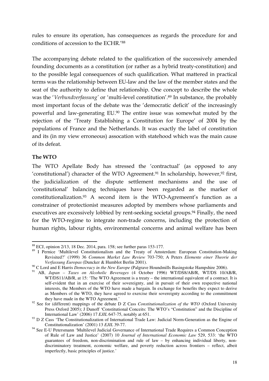rules to ensure its operation, has consequences as regards the procedure for and conditions of accession to the ECHR.'<sup>88</sup>

The accompanying debate related to the qualification of the successively amended founding documents as a constitution (or rather as a hybrid treaty-constitution) and to the possible legal consequences of such qualification. What mattered in practical terms was the relationship between EU-law and the law of the member states and the seat of the authority to define that relationship. One concept to describe the whole was the '*Verbundverfassung'* or 'multi-level constitution'.<sup>89</sup> In substance, the probably most important focus of the debate was the 'democratic deficit' of the increasingly powerful and law-generating EU.<sup>90</sup> The entire issue was somewhat muted by the rejection of the 'Treaty Establishing a Constitution for Europe' of 2004 by the populations of France and the Netherlands. It was exactly the label of constitution and its (in my view erroneous) assocation with statehood which was the main cause of its defeat.

#### **The WTO**

The WTO Apellate Body has stressed the 'contractual' (as opposed to any 'constitutional') character of the WTO Agreement.<sup>91</sup> In scholarship, however,<sup>92</sup> first, the judicialization of the dispute settlement mechanisms and the use of 'constitutional' balancing techniques have been regarded as the marker of constitutionalization.<sup>93</sup> A second item is the WTO-Agremeent's function as a constrainer of protectionist measures adopted by members whose parliaments and executives are excessively lobbied by rent-seeking societal groups.<sup>94</sup> Finally, the need for the WTO-regime to integrate non-trade concerns, including the protection of human rights, labour rights, environmental concerns and animal welfare has been

 $\overline{a}$ <sup>88</sup> ECJ, opinion 2/13, 18 Dec. 2014, para. 158; see further paras 153-177.

<sup>&</sup>lt;sup>89</sup> I Pernice 'Multilevel Constitutionalism and the Treaty of Amsterdam: European Constitution-Making Revisited?' (1999) 36 *Common Market Law Review* 703-750; A Peters *Elemente einer Theorie der Verfassung Europas* (Duncker & Humblot Berlin 2001).

<sup>&</sup>lt;sup>90</sup> C Lord and E Harris *Democracy in the New Europe* (Palgrave Houndmills Basingstoke Hampshire 2006).

<sup>91</sup> AB, *Japan – Taxes on Alcoholic Beverages* (4 October 1996) WT/DS8/AB/R, WT/DS 10/AB/R, WT/DS11/AB/R, at 15: 'The WTO Agreement is a treaty – the international equivalent of a contract. It is self-evident that in an exercise of their sovereignty, and in pursuit of their own respective national interests, the Members of the WTO have made a bargain. In exchange for benefits they expect to derive as Members of the WTO, they have agreed to exercise their sovereignty according to the committment they have made in the WTO Agreement.'

<sup>&</sup>lt;sup>92</sup> See for (different) mappings of the debate D Z Cass *Constitutionalization of the WTO* (Oxford University Press Oxford 2005); J Dunoff 'Constitutional Conceits: The WTO's "Constitution" and the Discipline of International Law' (2006) 17 *EJIL* 647-75, notably at 651.

<sup>&</sup>lt;sup>93</sup> D Z Cass 'The Constitutionalization of International Trade Law: Judicial Norm-Generation as the Engine of Constitutionalization' (2001) 13 *EJIL* 39-77.

<sup>&</sup>lt;sup>94</sup> See E-U Petersmann 'Multilevel Judicial Governance of International Trade Requires a Common Conception of Rule of Law and Justice' (2007) 10 *Journal of International Economic Law* 529, 533: 'the WTO guarantees of freedom, non-discrimination and rule of law – by enhancing individual liberty, nondiscriminatory treatment, economic welfare, and poverty reduction across frontiers – reflect, albeit imperfectly, basic principles of justice.'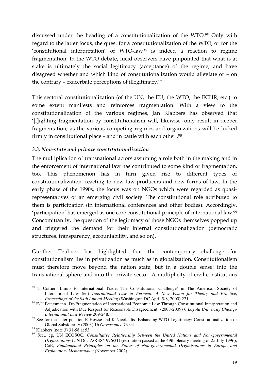discussed under the heading of a constitutionalization of the WTO.<sup>95</sup> Only with regard to the latter focus, the quest for a constitutionalization of the WTO, or for the 'constitutional interpretation' of WTO-law<sup>96</sup> is indeed a reaction to regime fragmentation. In the WTO debate, lucid observers have pinpointed that what is at stake is ultimately the social legitimacy (acceptance) of the regime, and have disagreed whether and which kind of constitutionalization would alleviate or – on the contrary – exacerbate perceptions of illegitimacy.<sup>97</sup>

This sectoral constitutionalization (of the UN, the EU, the WTO, the ECHR, etc.) to some extent manifests and reinforces fragmentation. With a view to the constitutionalization of the various regimes, Jan Klabbers has observed that '[f]ighting fragmentation by constitutionalism will, likewise, only result in deeper fragmentation, as the various competing regimes and organizations will be locked firmly in constitutional place – and in battle with each other'.<sup>98</sup>

## *3.3. Non-state and private constitutionalization*

The multiplication of transnational actors assuming a role both in the making and in the enforcement of international law has contributed to some kind of fragmentation, too. This phenomenon has in turn given rise to different types of constitutionalization, reacting to new law-producers and new forms of law. In the early phase of the 1990s, the focus was on NGOs which were regarded as quasirepresentatives of an emerging civil society. The constitutional role attributed to them is participation (in international conferences and other bodies). Accordingly, 'participation' has emerged as one core constitutional principle of international law.<sup>99</sup> Concomittantly, the question of the legitimacy of those NGOs themselves popped up and triggered the demand for their internal constitutionalization (democratic structures, transparency, accountability, and so on).

Gunther Teubner has highlighted that the contemporary challenge for constitutionalism lies in privatization as much as in globalization. Constitutionalism must therefore move beyond the nation state, but in a double sense: into the transnational sphere and into the private sector. A multiplicity of civil constitutions

 $\overline{a}$ <sup>95</sup> T Cottier 'Limits to International Trade: The Constitutional Challenge' in The American Society of International Law (ed) *International Law in Ferment: A New Vision for Theory and Practice*, *Proceedings of the 94th Annual Meeting* (Washington DC April 5-8, 2000) 221.

<sup>&</sup>lt;sup>96</sup> E-U Petersmann 'De-Fragmentation of International Economic Law Through Constitutional Interpretation and Adjudication with Due Respect for Reasonable Disagreement' (2008-2009) 6 *Loyola University Chicago International Law Review* 209-248.

<sup>&</sup>lt;sup>97</sup> See for the latter position R Howse and K Nicolaidis 'Enhancing WTO Legitimacy: Constitutionalization or Global Subsidiarity (2003) 16 *Governance* 73-94.

<sup>98</sup> Klabbers (note 3) 31-58 at 53.

<sup>99</sup> See., eg, UN ECOSOC, *Consultative Relationship between the United Nations and Non-governmental Organizations* (UN Doc A/RES/1996/31) (resolution passed at the 49th plenary meeting of 25 July 1996); CoE, *Fundamental Principles on the Status of Non-governmental Organisations in Europe and Explanatory Memorandum* (November 2002).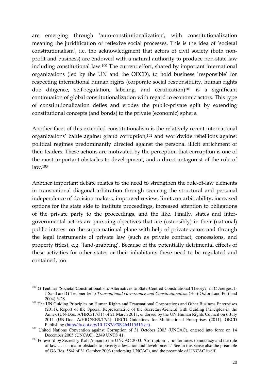are emerging through 'auto-constitutionalization', with constitutionalization meaning the juridification of reflexive social processes. This is the idea of 'societal constitutionalism', i.e. the acknowledgment that actors of civil society (both nonprofit and business) are endowed with a natural authority to produce non-state law including constitutional law.<sup>100</sup> The current effort, shared by important international organizations (led by the UN and the OECD), to hold business 'responsible' for respecting international human rights (corporate social responsibility, human rights due diligence, self-regulation, labeling, and certification)<sup>101</sup> is a significant continuation of global constitutionalization with regard to economic actors. This type of constitutionalization defies and erodes the public-private split by extending constitutional concepts (and bonds) to the private (economic) sphere.

Another facet of this extended constitutionalism is the relatively recent international organizations' battle against grand corruption,<sup>102</sup> and worldwide rebellions against political regimes predominantly directed against the personal illicit enrichment of their leaders. These actions are motivated by the perception that corruption is one of the most important obstacles to development, and a direct antagonist of the rule of law.<sup>103</sup>

Another important debate relates to the need to strengthen the rule-of-law elements in transnational diagonal arbitration through securing the structural and personal independence of decision-makers, improved review, limits on arbitrability, increased options for the state side to institute proceedings, increased attention to obligations of the private party to the proceedings, and the like. Finally, states and intergovernmental actors are pursuing objectives that are (ostensibly) in their (national) public interest on the supra-national plane with help of private actors and through the legal instruments of private law (such as private contract, concessions, and property titles), e.g. 'land-grabbing'. Because of the potentially detrimental effects of these activities for other states or their inhabitants these need to be regulated and contained, too.

<sup>&</sup>lt;sup>100</sup> G Teubner 'Societal Constitutionalism: Alternatives to State-Centred Constitutional Theory?' in C Joerges, I-J Sand and G Teubner (eds) *Transnational Governance and Constitutionalism* (Hart Oxford and Portland 2004) 3-28.

<sup>&</sup>lt;sup>101</sup> The UN Guiding Principles on Human Rights and Transnational Corporations and Other Business Enterprises (2011), Report of the Special Representative of the Secretary-General with Guiding Principles in the Annex (UN-Doc. A/HRC/17/31) of 21 March 2011, endorsed by the UN Human Rights Council on 6 July 2011 (UN-Doc. A/HRC/RES/17/4); OECD Guidelines for Multinational Enterprises (2011), OECD Publishing (http://dx.doi.org/10.1787/9789264115415-en).

<sup>&</sup>lt;sup>102</sup> United Nations Convention against Corruption of 31 October 2003 (UNCAC), entered into force on 14 December 2005 (UNCAC), 2349 UNTS 41.

<sup>&</sup>lt;sup>103</sup> Foreword by Secretary Kofi Annan to the UNCAC 2003: 'Corruption ... undermines democracy and the rule of law … is a major obstacle to poverty alleviation and development.' See in this sense also the preamble of GA Res. 58/4 of 31 October 2003 (endorsing UNCAC), and the preamble of UNCAC itself.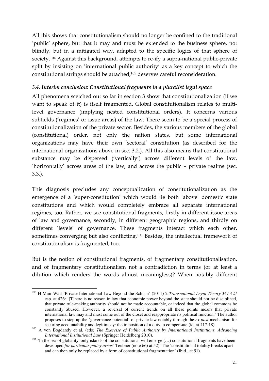All this shows that constitutionalism should no longer be confined to the traditional 'public' sphere, but that it may and must be extended to the business sphere, not blindly, but in a mitigated way, adapted to the specific logics of that sphere of society.<sup>104</sup> Against this background, attempts to re-ify a supra-national public-private split by insisting on 'international public authority' as a key concept to which the constitutional strings should be attached,<sup>105</sup> deserves careful reconsideration.

## *3.4. Interim conclusion: Constitutional fragments in a pluralist legal space*

All phenomena scetched out so far in section 3 show that constitutionalization (if we want to speak of it) is itself fragmented. Global constitutionalism relates to multilevel governance (implying nested constitutional orders). It concerns various subfields ('regimes' or issue areas) of the law. There seem to be a special process of constitutionalization of the private sector. Besides, the various members of the global (constitutional) order, not only the nation states, but some international organizations may have their own 'sectoral' constitution (as described for the international organizations above in sec. 3.2.). All this also means that constitutional substance may be dispersed ('vertically') across different levels of the law, 'horizontally' across areas of the law, and across the public – private realms (sec. 3.3.).

This diagnosis precludes any conceptualization of constitutionalization as the emergence of a 'super-constitution' which would lie both 'above' domestic state constitutions and which would completely embrace all separate international regimes, too. Rather, we see constitutional fragments, firstly in different issue-areas of law and governance, secondly, in different geographic regions, and thirdly on different 'levels' of governance. These fragments interact which each other, sometimes converging but also conflicting.<sup>106</sup> Besides, the intellectual framework of constitutionalism is fragmented, too.

But is the notion of constitutional fragments, of fragmentary constitutionalisation, and of fragmentary constitutionalism not a contradiction in terms (or at least a dilution which renders the words almost meaningless)? When notably different

 $\overline{a}$ <sup>104</sup> H Muir Watt 'Private International Law Beyond the Schism' (2011) 2 *Transnational Legal Theory* 347-427 esp. at 426: '[T]here is no reason in law that economic power beyond the state should not be disciplined, that private rule-making authority should not be made accountable, or indeed that the global commons be constantly abused. However, a reversal of current trends on all these points means that private international law may and must come out of the closet and reappropriate its political function.' The author proposes to step up the 'governance potential' of private law notably through the *ex post* mechanism for securing accountability and legitimacy: the imposition of a duty to compensate (id. at 417-18).

<sup>&</sup>lt;sup>105</sup> A von Bogdandy et al. (eds) *The Exercise of Public Authority by International Institutions. Advancing International Institutional Law* (Springer Heidelberg 2010).

<sup>&</sup>lt;sup>106</sup> 'In the sea of globality, only islands of the constitutional will emerge  $(...)$  constitutional fragments have been developed *for particular policy areas'* Teubner (note 66) at 52). The 'constitutional totality breaks apart and can then only be replaced by a form of constitutional fragmentation' (Ibid., at 51).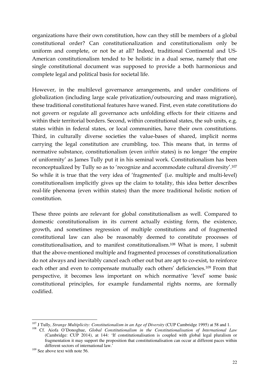organizations have their own constitution, how can they still be members of a global constitutional order? Can constitutionalization and constitutionalism only be uniform and complete, or not be at all? Indeed, traditional Continental and US-American constitutionalism tended to be holistic in a dual sense, namely that one single constitutional document was supposed to provide a both harmonious and complete legal and political basis for societal life.

However, in the multilevel governance arrangements, and under conditions of globalization (including large scale privatization/outsourcing and mass migration), these traditional constitutional features have waned. First, even state constitutions do not govern or regulate all governance acts unfolding effects for their citizens and within their territorial borders. Second, within constitutional states, the sub units, e.g. states within in federal states, or local communities, have their own constitutions. Third, in culturally diverse societies the value-bases of shared, implicit norms carrying the legal constitution are crumbling, too. This means that, in terms of normative substance, constitutionalism (even *within* states) is no longer 'the empire of uniformity' as James Tully put it in his seminal work. Constitutionalism has been reconceptualized by Tully so as to 'recognize and accommodate cultural diversity'.<sup>107</sup> So while it is true that the very idea of 'fragmented' (i.e. multiple and multi-level) constitutionalism implicitly gives up the claim to totality, this idea better describes real-life phenoma (even within states) than the more traditional holistic notion of constitution.

These three points are relevant for global constitutionalism as well. Compared to domestic constitutionalism in its current actually existing form, the existence, growth, and sometimes regression of multiple constitutions and of fragmented constitutional law can also be reasonably deemed to constitute processes of constitutionalisation, and to manifest constitutionalism.<sup>108</sup> What is more, I submit that the above-mentioned multiple and fragmented processes of constitutionalization do not always and inevitably cancel each other out but are apt to co-exist, to reinforce each other and even to compensate mutually each others' deficiencies.<sup>109</sup> From that perspective, it becomes less important on which normative 'level' some basic constitutional principles, for example fundamental rights norms, are formally codified.

<sup>&</sup>lt;sup>107</sup> J Tully, *Strange Multiplicity: Constitutionalism in an Age of Diversity* (CUP Cambridge 1995) at 58 and 1.

<sup>108</sup> Cf. Aiofa O'Donoghue, *Global Constitutionalism in the Constitutionalisation of International Law* (Cambridge: CUP 2014), at 144: 'If constitutionalisation is coupled with global legal pluralism or fragmentation it may support the proposition that constitutionalisation can occur at different paces within different sectors of international law.'

<sup>&</sup>lt;sup>109</sup> See above text with note 56.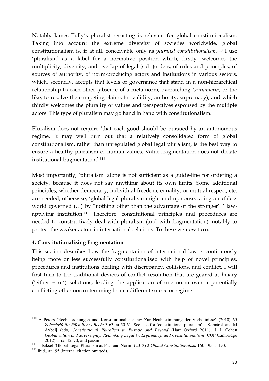Notably James Tully's pluralist recasting is relevant for global constitutionalism. Taking into account the extreme diversity of societies worldwide, global constitutionalism is, if at all, conceivable only as *pluralist constitutionalism*. <sup>110</sup> I use 'pluralism' as a label for a normative position which, firstly, welcomes the multiplicity, diversity, and overlap of legal (sub-)orders, of rules and principles, of sources of authority, of norm-producing actors and institutions in various sectors, which, secondly, accepts that levels of governance that stand in a non-hierarchical relationship to each other (absence of a meta-norm, overarching *Grundnorm*, or the like, to resolve the competing claims for validity, authority, supremacy), and which thirdly welcomes the plurality of values and perspectives espoused by the multiple actors. This type of pluralism may go hand in hand with constitutionalism.

Pluralism does not require 'that each good should be pursued by an autonomous regime. It may well turn out that a relatively consolidated form of global constitutionalism, rather than unregulated global legal pluralism, is the best way to ensure a healthy pluralism of human values. Value fragmentation does not dictate institutional fragmentation'.<sup>111</sup>

Most importantly, 'pluralism' alone is not sufficient as a guide-line for ordering a society, because it does not say anything about its own limits. Some additional principles, whether democracy, individual freedom, equality, or mutual respect, etc. are needed, otherwise, 'global legal pluralism might end up consecrating a ruthless world governed (…) by "nothing other than the advantage of the stronger" ' lawapplying institution.<sup>112</sup> Therefore, constitutional principles and procedures are needed to constructively deal with pluralism (and with fragmentation), notably to protect the weaker actors in international relations. To these we now turn.

# **4. Constitutionalizing Fragmentation**

This section describes how the fragmentation of international law is continuously being more or less successfully constitutionalised with help of novel principles, procedures and institutions dealing with discrepancy, collisions, and conflict. I will first turn to the traditional devices of conflict resolution that are geared at binary ('either − or') solutions, leading the application of one norm over a potentially conflicting other norm stemming from a different source or regime.

<sup>&</sup>lt;sup>110</sup> A Peters 'Rechtsordnungen und Konstitutionalisierung: Zur Neubestimmung der Verhältnisse' (2010) 65 *Zeitschrift für öffentliches Recht* 3-63, at 50-61. See also for 'constitutional pluralism' J Komárek and M Avbelj (eds) *Constitutional Pluralism in Europe and Beyond* (Hart Oxford 2011); J L Cohen *Globalization and Sovereignty: Rethinking Legality, Legitimacy, and Constitutionalism* (CUP Cambridge 2012) at ix, 45, 70, and passim.

<sup>111</sup> T Isiksel 'Global Legal Pluralism as Fact and Norm' (2013) 2 *Global Constitutionalism* 160-195 at 190.

<sup>112</sup> Ibid., at 195 (internal citation omitted).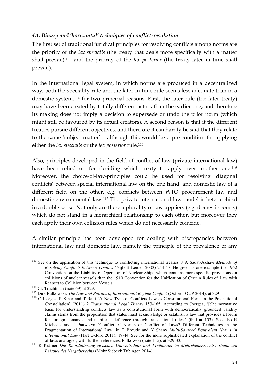## *4.1. Binary and 'horizontal' techniques of conflict-resolution*

The first set of traditional juridical principles for resolving conflicts among norms are the priority of the *lex specialis* (the treaty that deals more specifically with a matter shall prevail),<sup>113</sup> and the priority of the *lex posterior* (the treaty later in time shall prevail).

In the international legal system, in which norms are produced in a decentralized way, both the speciality-rule and the later-in-time-rule seems less adequate than in a domestic system,<sup>114</sup> for two principal reasons: First, the later rule (the later treaty) may have been created by totally different actors than the earlier one, and therefore its making does not imply a decision to supersede or undo the prior norm (which might still be favoured by its actual creators). A second reason is that it the different treaties pursue different objectives, and therefore it can hardly be said that they relate to the same 'subject matter' – although this would be a pre-condition for applying either the *lex specialis* or the *lex posterior* rule.<sup>115</sup>

Also, principles developed in the field of conflict of law (private international law) have been relied on for deciding which treaty to apply over another one.<sup>116</sup> Moreover, the choice-of-law-principles could be used for resolving 'diagonal conflicts' between special international law on the one hand, and domestic law of a different field on the other, e.g. conflicts between WTO procurement law and domestic environmental law.<sup>117</sup> The private international law-model is heterarchical in a double sense: Not only are there a plurality of law-appliers (e.g. domestic courts) which do not stand in a hierarchical relationship to each other, but moreover they each apply their own collision rules which do not necessarily coincide.

A similar principle has been developed for dealing with discrepancies between international law and domestic law, namely the principle of the prevalence of any

 $\overline{a}$ <sup>113</sup> See on the application of this technique to conflicting international treaties S A Sadat-Akhavi *Methods of Resolving Conflicts between Treaties* (Nijhoff Leiden 2003) 244-47. He gives as one example the 1962 Convention on the Liability of Operators of Nuclear Ships which contains more specific provisions on collisions of nuclear vessels than the 1910 Convention for the Unification of Certain Rules of Law with Respect to Collision between Vessels.

 $114$  Cf. Trachtman (note 69) at 229.

<sup>115</sup> Dirk Pulkowski, *The Law and Politics of International Regime Conflict* (Oxford: OUP 2014), at 329.

<sup>116</sup> C Joerges, P Kjaer and T Ralli 'A New Type of Conflicts Law as Constitutional Form in the Postnational Constellation' (2011) 2 *Transnational Legal Theory* 153-165. According to Joerges, '[t]he normative basis for understanding conflicts law as a constitutional form with democratically grounded validity claims stems from the proposition that states must acknowledge or establish a law that provides a forum for foreign demands and manifests deference through transnational rules.' (ibid at 153). See also R Michaels and J Pauwelyn 'Conflict of Norms or Conflict of Laws? Different Techniques in the Fragmentation of International Law' in T Broude and Y Shany *Multi-Sourced Equivalent Norms in International Law* (Hart Oxford 2011), 19-44. See for the more sophisticated explanation of the conflict of laws analogies, with further references, Pulkowski (note 115), at 329-335.

<sup>117</sup> R Krämer *Die Koordinierung zwischen Umweltschutz und Freihandel im Mehrebenenrechtsverbund am Beispiel des Vergaberechts* (Mohr Siebeck Tübingen 2014).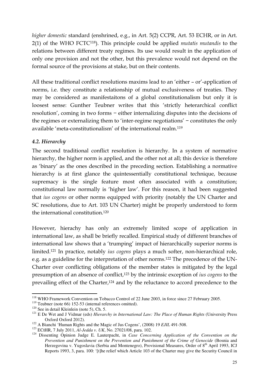*higher domestic* standard (enshrined, e.g., in Art. 5(2) CCPR, Art. 53 ECHR, or in Art. 2(1) of the WHO FCTC<sup>118</sup>). This principle could be applied *mutatis mutandis* to the relations between different treaty regimes. Its use would result in the application of only one provision and not the other, but this prevalence would not depend on the formal source of the provisions at stake, but on their contents.

All these traditional conflict resolutions maxims lead to an 'either – or'-application of norms, i.e. they constitute a relationship of mutual exclusiveness of treaties. They may be considered as manifestaitons of a global constitutionalism but only it is loosest sense: Gunther Teubner writes that this 'strictly heterarchical conflict resolution', coming in two forms − either internalizing disputes into the decisions of the regimes or externalizing them to 'inter-regime negotiations' − constitutes the only available 'meta-constitutionalism' of the international realm.<sup>119</sup>

# *4.2. Hierarchy*

The second traditional conflict resolution is hierarchy. In a system of normative hierarchy, the higher norm is applied, and the other not at all; this device is therefore as 'binary' as the ones described in the preceding section. Establishing a normative hierarchy is at first glance the quintessentially constitutional technique, because supremacy is the single feature most often associated with a constitution; constitutional law normally is 'higher law'. For this reason, it had been suggested that *ius cogens* or other norms equipped with priority (notably the UN Charter and SC resolutions, due to Art. 103 UN Charter) might be properly understood to form the international constitution.<sup>120</sup>

However, hierachy has only an extremely limited scope of application in international law, as shall be briefly recalled. Empirical study of different branches of international law shows that a 'trumping' impact of hierarchically superior norms is limited.<sup>121</sup> In practice, notably *ius cogens* plays a much softer, non-hierarchical role, e.g. as a guideline for the interpretation of other norms.122 The precedence of the UN-Charter over conflicting obligations of the member states is mitigated by the legal presumption of an absence of conflict,<sup>123</sup> by the intrinsic exception of *ius cogens* to the prevailing effect of the Charter,<sup>124</sup> and by the reluctance to accord precedence to the

 $\overline{a}$ <sup>118</sup> WHO Framework Convention on Tobacco Control of 22 June 2003, in force since 27 February 2005.

<sup>119</sup> Teubner (note 66) 152-53 (internal references omitted).

<sup>&</sup>lt;sup>120</sup> See in detail Kleinlein (note 5), Ch. 5.

<sup>&</sup>lt;sup>121</sup> E De Wet and J Vidmar (eds) *Hierarchy in International Law: The Place of Human Rights* (University Press Oxford Oxford 2012).

<sup>122</sup> A Bianchi 'Human Rights and the Magic of Jus Cogens', (2008) 19 *EJIL* 491-508.

<sup>123</sup> ECtHR, 7 July 2011, *Al-Jedda v. UK*, No. 27021/08, para. 102.

<sup>124</sup> Dissenting Opinion Judge E. Lauterpacht, in *Case Concerning Application of the Convention on the Prevention and Punishment on the Prevention and Punishment of the Crime of Genocide* (Bosnia and Herzegovina v. Yugoslavia (Serbia and Montenegro), Provisional Measures, Order of 8<sup>th</sup> April 1993, ICJ Reports 1993, 3, para. 100: '[t]he relief which Article 103 of the Charter may give the Security Council in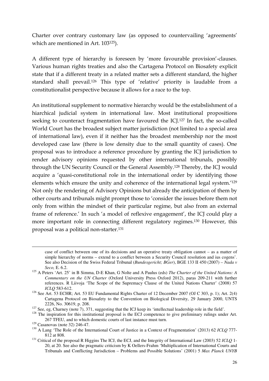Charter over contrary customary law (as opposed to countervailing 'agreements' which are mentioned in Art. 103<sup>125</sup>).

A different type of hierarchy is foreseen by 'more favourable provision'-clauses. Various human rights treaties and also the Cartagena Protocol on Biosafety explicit state that if a different treaty in a related matter sets a different standard, the higher standard shall prevail.<sup>126</sup> This type of 'relative' priority is laudable from a constitutionalist perspective because it allows for a race to the top.

An institutional supplement to normative hierarchy would be the estabslishment of a hiarchical judicial system in international law. Most institutional propositions seeking to counteract fragmentation have favoured the ICJ.<sup>127</sup> In fact, the so-called World Court has the broadest subject matter jurisdiction (not limited to a special area of international law), even if it neither has the broadest membership nor the most developed case law (there is low density due to the small quantity of cases). One proposal was to introduce a reference procedure by granting the ICJ jurisdiction to render advisory opinions requested by other international tribunals, possibly through the UN Security Council or the General Assembly.<sup>128</sup> Thereby, the ICJ would acquire a 'quasi-constitutional role in the international order by identifying those elements which ensure the unity and coherence of the international legal system.'<sup>129</sup> Not only the rendering of Advisory Opinions but already the anticipation of them by other courts and tribunals might prompt those to 'consider the issues before them not only from within the mindset of their particular regime, but also from an external frame of reference.' In such 'a model of reflexive engagement', the ICJ could play a more important role in connecting different regulatory regimes.<sup>130</sup> However, this proposal was a political non-starter.<sup>131</sup>

case of conflict between one of its decisions and an operative treaty obligation cannot – as a matter of simple hierarchy of norms – extend to a conflict between a Security Council resolution and ius cogens'. See also Decision of the Swiss Federal Tribunal (*Bundesgericht; BGer*), BGE 133 II 450 (2007) – *Nada v Seco,* E. 6.2.

<sup>125</sup> A Peters 'Art. 25' in B Simma, D-E Khan, G Nolte and A Paulus (eds) *The Charter of the United Nations: A Commentary on the UN Charter* (Oxford University Press Oxford 2012), paras 209-211 with further references. R Liivoja 'The Scope of the Supremacy Clause of the United Nations Charter' (2008) 57 *ICLQ* 583-612.

<sup>&</sup>lt;sup>126</sup> See Art. 53 ECHR; Art. 53 EU Fundamental Rights Charter of 12 December 2007 (OJ C 303, p. 1); Art. 2(4) Cartagena Protocol on Biosafety to the Convention on Biological Diversity, 29 January 2000, UNTS 2226, No. 30619, p. 208.

<sup>&</sup>lt;sup>127</sup> See, eg, Charney (note 7), 371, suggesting that the ICJ keep its 'intellectual leadership role in the field'.

<sup>&</sup>lt;sup>128</sup> The inspiration for this institutional proposal is the ECJ competence to give preliminary rulings under Art. 267 TFEU, and to which domestic courts of last instance must turn.

<sup>129</sup> Casanovas (note 32) 246-47.

<sup>130</sup> A Lang 'The Role of the International Court of Justice in a Context of Fragmentation' (2013) 62 *ICLQ* 777- 812 at 808.

<sup>131</sup> Critical of the proposal R Higgins The ICJ, the ECJ, and the Integrity of International Law (2003) 52 *ICLQ* 1- 20, at 20. See also the pragmatic criticism by K Oellers-Frahm 'Multiplication of International Courts and Tribunals and Conflicting Jurisdiction – Problems and Possible Solutions' (2001) 5 *Max Planck UNYB*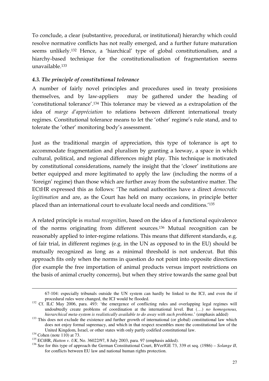To conclude, a clear (substantive, procedural, or institutional) hierarchy which could resolve normative conflicts has not really emerged, and a further future maturation seems unlikely.<sup>132</sup> Hence, a 'hiarchical' type of global constitutionalism, and a hiarchy-based technique for the constitutionalisation of fragmentation seems unavailable.<sup>133</sup>

# *4.3. The principle of constitutional tolerance*

A number of fairly novel principles and procedures used in treaty prosisions themselves, and by law-appliers may be gathered under the heading of 'constitutional tolerance'.<sup>134</sup> This tolerance may be viewed as a extrapolation of the idea of *marge d'appréciation* to relations between different international treaty regimes. Constitutional tolerance means to let the 'other' regime's rule stand, and to tolerate the 'other' monitoring body's assessment.

Just as the traditional margin of appreciation, this type of tolerance is apt to accommodate fragmentation and pluralism by granting a leeway, a space in which cultural, political, and regional differences might play. This technique is motivated by constitutional considerations, namely the insight that the 'closer' institutions are better equipped and more legitimated to apply the law (including the norms of a 'foreign' regime) than those which are further away from the substantive matter. The ECtHR expressed this as follows: 'The national authorities have a direct *democratic legitimation* and are, as the Court has held on many occasions, in principle better placed than an international court to evaluate local needs and conditions.'<sup>135</sup>

A related principle is *mutual recognition*, based on the idea of a functional equivalence of the norms originating from different sources.<sup>136</sup> Mutual recognition can be reasonably applied to inter-regime relations. This means that different standards, e.g. of fair trial, in different regimes (e.g. in the UN as opposed to in the EU) should be mutually recognized as long as a minimal threshold is not undercut. But this approach fits only when the norms in question do not point into opposite directions (for example the free importation of animal products versus import restrictions on the basis of animal cruelty concerns), but when they strive towards the same goal but

<sup>67-104:</sup> especially tribunals outside the UN system can hardly be linked to the ICJ, and even the if procedural rules were changed, the ICJ would be flooded.

<sup>&</sup>lt;sup>132</sup> Cf. ILC May 2006, para. 493: 'the emergence of conflicting rules and overlapping legal regimes will undoubtedly create problems of coordination at the international level. But (…) *no homogenous, hierarchical meta-system is realistically available to do away with such problems*.' (emphasis added)

<sup>&</sup>lt;sup>133</sup> This does not exclude the existence and further growth of international (or global) constitutional law which does not enjoy formal supremacy, and which in that respect resembles more the constitutional law of the United Kingdom, Israel, or other states with only partly codified constitutional law.

 $134$  Cohen (note 110) at 73.

<sup>135</sup> ECtHR, *Hatton v. UK*, No. 36022/97, 8 July 2003, para. 97 (emphasis added).

<sup>136</sup> See for this type of approach the German Constitutional Court, BVerfGE 73, 339 et seq. (1986) – *Solange II*, for conflicts between EU law and national human rights protection.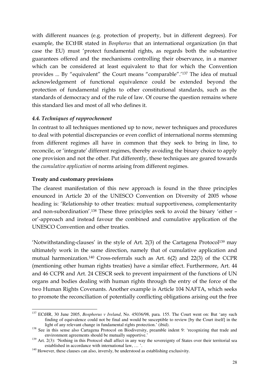with different nuances (e.g. protection of property, but in different degrees). For example, the ECtHR stated in *Bosphorus* that an international organization (in that case the EU) must 'protect fundamental rights, as regards both the substantive guarantees offered and the mechanisms controlling their observance, in a manner which can be considered at least equivalent to that for which the Convention provides ... By "equivalent" the Court means "comparable".'<sup>137</sup> The idea of mutual acknowledgement of functional equivalence could be extended beyond the protection of fundamental rights to other constitutional standards, such as the standards of democracy and of the rule of law. Of course the question remains where this standard lies and most of all who defines it.

## *4.4. Techniques of rapprochement*

In contrast to all techniques mentioned up to now, newer techniques and procedures to deal with potential discrepancies or even conflict of international norms stemming from different regimes all have in common that they seek to bring in line, to reconcile, or 'integrate' different regimes, thereby avoiding the binary choice to apply one provision and not the other. Put differently, these techniques are geared towards the *cumulative application* of norms arising from different regimes.

## **Treaty and customary provisions**

The clearest manifestation of this new approach is found in the three principles enounced in Article 20 of the UNESCO Convention on Diversity of 2005 whose heading is: 'Relationship to other treaties: mutual supportiveness, complementarity and non-subordination'.<sup>138</sup> These three principles seek to avoid the binary 'either – or'-approach and instead favour the combined and cumulative application of the UNESCO Convention and other treaties.

'Notwithstanding-clauses' in the style of Art.  $2(3)$  of the Cartagena Protocol<sup>139</sup> may ultimately work in the same direction, namely that of cumulative application and mutual harmonization.<sup>140</sup> Cross-referrals such as Art. 6(2) and 22(3) of the CCPR (mentioning other human rights treaties) have a similar effect. Furthermore, Art. 44 and 46 CCPR and Art. 24 CESCR seek to prevent impairment of the functions of UN organs and bodies dealing with human rights through the entry of the force of the two Human Rights Covenants. Another example is Article 104 NAFTA, which seeks to promote the reconciliation of potentially conflicting obligations arising out the free

 $\overline{a}$ <sup>137</sup> ECtHR, 30 June 2005, *Bosphorus v Ireland*, No. 45036/98, para. 155. The Court went on: But 'any such finding of equivalence could not be final and would be susceptible to review [by the Court itself] in the light of any relevant change in fundamental rights protection.' (ibid).

<sup>&</sup>lt;sup>138</sup> See in this sense also Cartagena Protocol on Biodiversity, preamble indent 9: 'recognizing that trade and environment agreements should be mutually supportive.'

<sup>&</sup>lt;sup>139</sup> Art. 2(3): 'Nothing in this Protocol shall affect in any way the sovereignty of States over their territorial sea established in accordance with international law, … '.

<sup>&</sup>lt;sup>140</sup> However, these clauses can also, inversly, be understood as establishing exclusivity.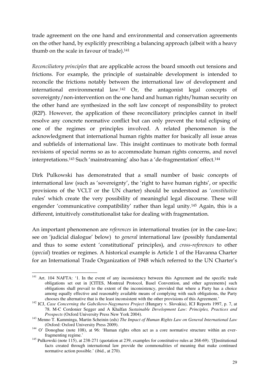trade agreement on the one hand and environmental and conservation agreements on the other hand, by explicitly prescribing a balancing approach (albeit with a heavy thumb on the scale in favour of trade).<sup>141</sup>

*Reconciliatory principles* that are applicable across the board smooth out tensions and frictions. For example, the principle of sustainable development is intended to reconcile the frictions notably between the international law of development and international environmental law.<sup>142</sup> Or, the antagonist legal concepts of sovereignty/non-intervention on the one hand and human rights/human security on the other hand are synthesized in the soft law concept of responsibility to protect (R2P). However, the application of these reconciliatory principles cannot in itself resolve any concrete normative conflict but can only prevent the total eclipsing of one of the regimes or principles involved. A related phenomenon is the acknowledgment that international human rights matter for basically all issue areas and subfields of international law. This insight continues to motivate both formal revisions of special norms so as to accommodate human rights concerns, and novel interpretations.<sup>143</sup> Such 'mainstreaming' also has a 'de-fragmentation' effect.<sup>144</sup>

Dirk Pulkowski has demonstrated that a small number of basic concepts of international law (such as 'sovereignty', the 'right to have human rights', or specific provisions of the VCLT or the UN charter) should be understood as '*constitutive* rules' which create the very possibility of meaningful legal discourse. These will engender 'communicative compatibility' rather than legal unity.<sup>145</sup> Again, this is a different, intuitively constitutionalist take for dealing with fragmentation.

An important phenomenon are *references* in international treaties (or in the case-law; see on 'judicial dialogue' below) to *general* international law (possibly fundamental and thus to some extent 'constitutional' principles), and *cross-references* to other (*special*) treaties or regimes. A historical example is Article 1 of the Havanna Charter for an International Trade Organization of 1948 which referred to the UN Charter's

 $\overline{a}$ <sup>141</sup> Art. 104 NAFTA: '1. In the event of any inconsistency between this Agreement and the specific trade obligations set out in [CITES, Montreal Protocol, Basel Convention, and other agreements] such obligations shall prevail to the extent of the inconsistency, provided that where a Party has a choice among equally effective and reasonably available means of complying with such obligations, the Party chooses the alternative that is the least inconsistent with the other provisions of this Agreement.'

<sup>&</sup>lt;sup>142</sup> ICJ, *Case Concerning the Gabcíkovo-Nagymaros Project* (Hungary v. Slovakia), ICJ Reports 1997, p. 7, at 78. M-C Cordonier Segger and A Khalfan *Sustainable Development Law: Principles, Practices and Prospects* (Oxford University Press New York 2004).

<sup>143</sup> Menno T. Kamminga, Martin Scheinin (eds) *The Impact of Human Rights Law on General International Law* (Oxford: Oxford University Press 2009).

<sup>&</sup>lt;sup>144</sup> O' Donoghue (note 108), at 96: 'Human rights often act as a core normative structure within an everfragmenting regime.'

<sup>&</sup>lt;sup>145</sup> Pulkowski (note 115), at 238-271 (quotation at 239, examples for constitutive rules at 268-69). '[I]nstitutional facts created through international law provide the commonalities of meaning that make continued normative action possible.' (ibid., at 270).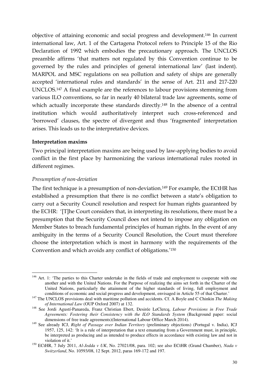objective of attaining economic and social progress and development.<sup>146</sup> In current international law, Art. 1 of the Cartagena Protocol refers to Principle 15 of the Rio Declaration of 1992 which embodies the precautionary approach. The UNCLOS preamble affirms 'that matters not regulated by this Convention continue to be governed by the rules and principles of general international law' (last indent). MARPOL and MSC regulations on sea pollution and safety of ships are generally accepted 'international rules and standards' in the sense of Art. 211 and 217-220 UNCLOS.<sup>147</sup> A final example are the references to labour provisions stemming from various ILO conventions, so far in nearly 40 bilateral trade law agreements, some of which actually incorporate these standards directly.<sup>148</sup> In the absence of a central institution which would authoritatively interpret such cross-referenced and 'borrowed' clauses, the spectre of divergent and thus 'fragmented' interpretation arises. This leads us to the interpretative devices.

#### **Interpretation maxims**

Two principal interpretation maxims are being used by law-applying bodies to avoid conflict in the first place by harmonizing the various international rules rooted in different regimes.

#### *Presumption of non-deviation*

The first technique is a presumption of non-deviation.<sup>149</sup> For example, the ECtHR has established a presumption that there is no conflict between a state's obligation to carry out a Security Council resolution and respect for human rights guaranteed by the ECHR: '[T]he Court considers that, in interpreting its resolutions, there must be a presumption that the Security Council does not intend to impose any obligation on Member States to breach fundamental principles of human rights. In the event of any ambiguity in the terms of a Security Council Resolution, the Court must therefore choose the interpretation which is most in harmony with the requirements of the Convention and which avoids any conflict of obligations.'<sup>150</sup>

 $\overline{a}$ <sup>146</sup> Art. 1: 'The parties to this Charter undertake in the fields of trade and employment to cooperate with one another and with the United Nations. For the Purpose of realizing the aims set forth in the Charter of the United Nations, particularly the attainment of the higher standards of living, full employment and conditions of economic and social progress and development, envisaged in Article 55 of that Charter.'

<sup>&</sup>lt;sup>147</sup> The UNCLOS provisions deal with maritime pollution and accidents. Cf. A Boyle and C Chinkin *The Making of International Law* (OUP Oxford 2007) at 132.

<sup>148</sup> See Jordi Agustí-Panareda, Franz Christian Ebert, Desirée LeClercq, *Labour Provisions in Free Trade Agreements: Fostering their Consistency with the ILO Standards System* (Background paper: social dimensions of free trade agreements)(International Labour Office March 2014).

<sup>149</sup> See already ICJ, *Right of Passage over Indian Territory* (preliminary objections) (Portugal v. India), ICJ 1957, 125, 142: 'It is a rule of interpretation that a text emanating from a Government must, in principle, be interpreted as producing and as intended to produce effects in accordance with existing law and not in violation of it.'

<sup>150</sup> ECtHR, 7 July 2011, *Al-Jedda v UK*, No. 27021/08, para. 102; see also ECtHR (Grand Chamber), *Nada v Switzerland*, No. 10593/08, 12 Sept. 2012, paras 169-172 and 197.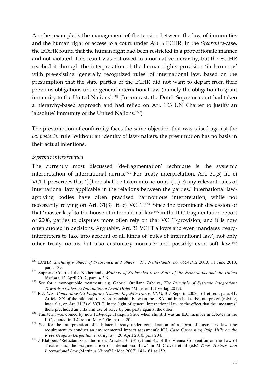Another example is the management of the tension between the law of immunities and the human right of access to a court under Art. 6 ECHR. In the *Srebrenica*-case, the ECtHR found that the human right had been restricted in a proportionate manner and not violated. This result was not owed to a normative hierarchy, but the ECtHR reached it through the interpretation of the human rights provision 'in harmony' with pre-existing 'generally recognized rules' of international law, based on the presumption that the state parties of the ECHR did not want to depart from their previous obligations under general international law (namely the obligation to grant immunity to the United Nations).<sup>151</sup> (In contrast, the Dutch Supreme court had taken a hierarchy-based approach and had relied on Art. 103 UN Charter to justify an 'absolute' immunity of the United Nations.<sup>152</sup>)

The presumption of conformity faces the same objection that was raised against the *lex posterior* rule: Without an identity of law-makers, the presumption has no basis in their actual intentions.

#### *Systemic interpretation*

 $\overline{a}$ 

The currently most discussed 'de-fragmentation' technique is the systemic interpretation of international norms.<sup>153</sup> For treaty interpretation, Art. 31(3) lit. c) VCLT prescribes that '[t]here shall be taken into account: (…) c) any relevant rules of international law applicable in the relations between the parties.' International lawapplying bodies have often practised harmonious interpretation, while not necessarily relying on Art. 31(3) lit. c) VCLT.<sup>154</sup> Since the prominent discussion of that 'master-key' to the house of international law<sup>155</sup> in the ILC fragmentation report of 2006, parties to disputes more often rely on that VCLT-provision, and it is now often quoted in decisions. Arguably, Art. 31 VCLT allows and even mandates treatyinterpreters to take into account of all kinds of 'rules of international law', not only other treaty norms but also customary norms<sup>156</sup> and possibly even soft law.<sup>157</sup>

<sup>151</sup> ECtHR, *Stichting v others of Srebrenica and others v The Netherlands*, no. 65542/12 2013, 11 June 2013, para. 139.

<sup>&</sup>lt;sup>152</sup> Supreme Court of the Netherlands, *Mothers of Srebrenica v the State of the Netherlands and the United Nations,* 13 April 2012, para. 4.3.6.

<sup>153</sup> See for a monographic treatment, e.g. Gabriel Orellana Zabalza, *The Principle of Systemic Integration: Towards a Coherent International Legal Order* (Münster: Lit Verlag 2012).

<sup>&</sup>lt;sup>154</sup> ICJ, *Case Concerning Oil Platforms (Islamic Republic Iran v. USA)*, ICJ Reports 2003, 161 et seq., para. 41: Article XX of the bilateral treaty on friendship between the USA and Iran had to be interpreted (relying, inter alia, on Art. 31(3) c) VCLT, in the light of general international law, to the effect that the 'measures' there precluded an unlawful use of force by one party against the other.

<sup>&</sup>lt;sup>155</sup> This term was coined by now ICJ-judge Hanquin Shue when she still was an ILC member in debates in the ILC, quoted in ILC report May 2006, para. 420.

<sup>&</sup>lt;sup>156</sup> See for the interpretation of a bilateral treaty under consideration of a norm of customary law (the requirement to conduct an environmental impact asessment): ICJ, *Case Concerning Pulp Mills on the River Uruguay* (*Argentina v. Uruguay*), 20 April 2010, para 204.

<sup>&</sup>lt;sup>157</sup> J Klabbers 'Reluctant Grundnormen: Articles 31 (3) (c) and 42 of the Vienna Convention on the Law of Treaties and the Fragmentation of International Law' in M Craven et al (eds) *Time, History, and International Law* (Martinus Nijhoff Leiden 2007) 141-161 at 159.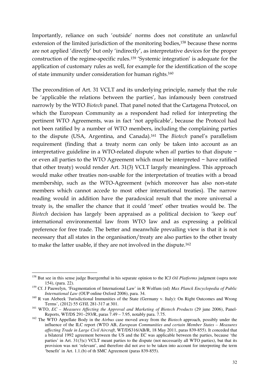Importantly, reliance on such 'outside' norms does not constitute an unlawful extension of the limited jurisdiction of the monitoring bodies,<sup>158</sup> because these norms are not applied 'directly' but only 'indirectly', as interpretative devices for the proper construction of the regime-specific rules.<sup>159</sup> 'Systemic integration' is adequate for the application of customary rules as well, for example for the identification of the scope of state immunity under consideration for human rights.<sup>160</sup>

The precondition of Art. 31 VCLT and its underlying principle, namely that the rule be 'applicable the relations between the parties', has infamously been construed narrowly by the WTO *Biotech* panel. That panel noted that the Cartagena Protocol, on which the European Community as a respondent had relied for interpreting the pertinent WTO Agreements, was in fact 'not applicable', because the Protocol had not been ratified by a number of WTO members, including the complaining parties to the dispute (USA, Argentina, and Canada).<sup>161</sup> The *Biotech* panel's parallelism requirement (finding that a treaty norm can only be taken into account as an interpretative guideline in a WTO-related dispute when *all* parties to that dispute − or even all parties to the WTO Agreement which must be interpreted − have ratified that other treaty) would render Art. 31(3) VCLT largely meaningless. This approach would make other treaties non-usable for the interpretation of treaties with a broad membership, such as the WTO-Agreement (which moreover has also non-state members which cannot accede to most other international treaties). The narrow reading would in addition have the paradoxical result that the more universal a treaty is, the smaller the chance that it could 'meet' other treaties would be. The *Biotech* decision has largely been appraised as a political decision to 'keep out' international environmental law from WTO law and as expressing a political preference for free trade. The better and meanwhile prevailing view is that it is not necessary that all states in the organisation/treaty are also parties to the other treaty to make the latter usable, if they are not involved in the dispute.<sup>162</sup>

<sup>&</sup>lt;sup>158</sup> But see in this sense judge Buergenthal in his separate opinion to the ICJ *Oil Platforms* judgment (supra note 154), (para. 22).

<sup>159</sup> Cf. J Pauwelyn, 'Fragmentation of International Law' in R Wolfum (ed) *Max Planck Encyclopedia of Public International Law* (OUP online Oxford 2006), para. 34.

<sup>&</sup>lt;sup>160</sup> R van Alebeek 'Jurisdictional Immunities of the State (Germany v. Italy): On Right Outcomes and Wrong Terms', (2012) 55 *GYIL* 281-317 at 301.

<sup>161</sup> WTO, *EC – Measures Affecting the Approval and Marketing of Biotech Products* (29 june 2006), Panel-Reports, WT/DS 291–293/R, paras 7.49 – 7.95, notably para. 7.75.

<sup>162</sup> The WTO Appellate Body in the *Airbus* case moved away from the *Biotech* approach, possibly under the influence of the ILC report (WTO AB, *European Communities and certain Member States – Measures affecting Trade in Large Civil Aircraft*, WT/DS316/AB/R, 18 May 2011, paras 839-855). It conceded that a bilateral 1992 agreement between the US and the EC was applicable between the parties, because 'the parties' in Art. 31(3)c) VCLT meant parties to the dispute (not necessarily all WTO parties), but that its provision was not 'relevant', and therefore did not ave to be taken into account for interpreting the term 'benefit' in Art. 1.1.(b) of th SMC Agreement (paras 839-855).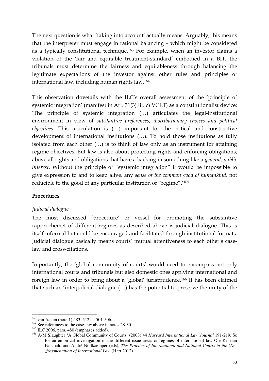The next question is what 'taking into account' actually means. Arguably, this means that the interpreter must engage in rational balancing – which might be considered as a typically constitutional technique.<sup>163</sup> For example, when an investor claims a violation of the 'fair and equitable treatment-standard' embodied in a BIT, the tribunals must determine the fairness and equitableness through balancing the legitimate expectations of the investor against other rules and principles of international law, including human rights law.<sup>164</sup>

This observation dovetails with the ILC's overall assessment of the 'principle of systemic integration' (manifest in Art. 31(3) lit. c) VCLT) as a constitutionalist device: 'The principle of systemic integration (…) articulates the legal-institutional environment in view of *substantive preferences, distributionary choices and political objectives*. This articulation is (…) important for the critical and constructive development of international institutions (…). To hold those institutions as fully isolated from each other (…) is to think of law only as an instrument for attaining regime-objectives. But law is also about protecting rights and enforcing obligations, above all rights and obligations that have a backing in something like a *general, public interest*. Without the principle of "systemic integration" it would be impossible to give expression to and to keep alive, any *sense of the common good of humankind*, not reducible to the good of any particular institution or "regime".'<sup>165</sup>

#### **Procedures**

#### *Judicial dialogue*

The most discussed 'procedure' or vessel for promoting the substantive rapprochemet of different regimes as described above is judicial dialogue. This is itself informal but could be encouraged and facilitated through institutional formats. Judicial dialogue basically means courts' mutual attentiveness to each other's caselaw and cross-citations.

Importantly, the 'global community of courts' would need to encompass not only international courts and tribunals but also domestic ones applying international and foreign law in order to bring about a 'global' jurisprudence.<sup>166</sup> It has been claimed that such an 'interjudicial dialogue (…) has the potential to preserve the unity of the

 $\overline{a}$  $163$  van Aaken (note 1) 483–512, at 501-506.

<sup>&</sup>lt;sup>164</sup> See references to the case-law above in notes 28-30.

<sup>&</sup>lt;sup>165</sup> ILC 2006, para. 480 (emphases added).

<sup>166</sup> A-M Slaughter 'A Global Community of Courts' (2003) 44 *Harvard International Law Journal* 191-219. Se for an empirical investigation in the different issue areas or regimes of international law Ole Kristian Fauchald and André Nollkaemper (eds), *The Practice of International and National Courts in the (De- )fragmentation of International Law* (Hart 2012).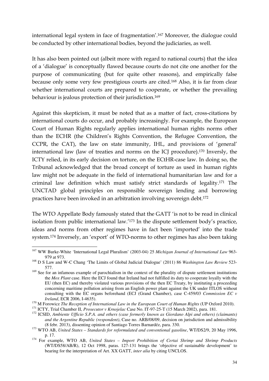international legal system in face of fragmentation'.<sup>167</sup> Moreover, the dialogue could be conducted by other international bodies, beyond the judiciaries, as well.

It has also been pointed out (albeit more with regard to national courts) that the idea of a 'dialogue' is conceptually flawed because courts do not cite one another for the purpose of communicating (but for quite other reasons), and empirically false because only some very few prestigious courts are cited.<sup>168</sup> Also, it is far from clear whether international courts are prepared to cooperate, or whether the prevailing behaviour is jealous protection of their jurisdiction.<sup>169</sup>

Against this skepticism, it must be noted that as a matter of fact, cross-citations by international courts do occur, and probably increasingly. For example, the European Court of Human Rights regularly applies international human rights norms other than the ECHR (the Children's Rights Convention, the Refugee Convention, the CCPR, the CAT), the law on state immunity, IHL, and provisions of 'general' international law (law of treaties and norms on the ICJ procedure).<sup>170</sup> Inversly, the ICTY relied, in its early decision on torture, on the ECtHR-case law. In doing so, the Tribunal acknowledged that the broad concept of torture as used in human rights law might not be adequate in the field of international humanitarian law and for a criminal law definition which must satisfy strict standards of legality.<sup>171</sup> The UNCTAD global principles on responsible sovereign lending and borrowing practices have been invoked in an arbitration involving sovereign debt.<sup>172</sup>

The WTO Appellate Body famously stated that the GATT 'is not to be read in clinical isolation from public international law.'<sup>173</sup> In the dispute settlement body's practice, ideas and norms from other regimes have in fact been 'imported' into the trade system.<sup>174</sup> Inversely, an 'export' of WTO-norms to other regimes has also been taking

 $\overline{a}$ <sup>167</sup> WW Burke-White 'International Legal Pluralism' (2003-04) 25 *Michigan Journal of International Law* 963- 979 at 973.

<sup>168</sup> D S Law and W-C Chang 'The Limits of Global Judicial Dialogue' (2011) 86 *Washington Law Review* 523- 577.

<sup>&</sup>lt;sup>169</sup> See for an infamous example of parochialism in the context of the plurality of dispute settlement institutions the *Mox Plant* case. Here the ECJ found that Ireland had not fulfilled its duty to cooperate loyally with the EU (then EC) and thereby violated various provisions of the then EC Treaty, by instituting a proceeding concerning maritime pollution arising from an English power plant against the UK under ITLOS without consulting with the EC organs beforehand (ECJ (Grand Chamber), case C-459/03 *Commission EC v Ireland*, ECR 2006, I-4635).

<sup>&</sup>lt;sup>170</sup> M Forowicz *The Reception of International Law in the European Court of Human Rights* (UP Oxford 2010).

<sup>171</sup> ICTY, Trial Chamber II, *Prosecutor v Krnojelac* Case No. IT-97-25-T (15 March 2002), para. 181.

<sup>172</sup> ICSID, *Ambiente Ufficio S.P.A. and others (case formerly known as Giordano Alpi and others) (claimants) and the Argentine Republic (respondent)*, Case no. ARB/08/09, decision on jurisdiction and admissibility (8 febr. 2013), dissenting opinion of Santiago Torres Barnardéz, para. 330.

<sup>173</sup> WTO AB, *United States – Standards for reformulated and conventional gasoline*, WT/DS2/9, 20 May 1996, p. 17.

<sup>174</sup> For example, WTO AB, *United States – Import Prohibition of Certai Shrimp and Shrimp Products*  (WT/DS58/AB/R), 12 Oct 1998, paras. 127-131 brings the 'objective of sustainable development' to bearing for the interpretation of Art. XX GATT, *inter alia* by citing UNCLOS.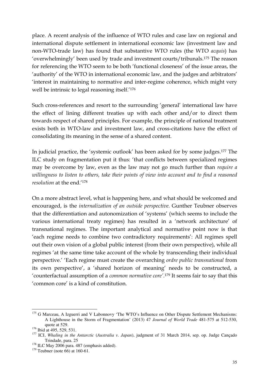place. A recent analysis of the influence of WTO rules and case law on regional and international dispute settlement in international economic law (investment law and non-WTO-trade law) has found that substantive WTO rules (the WTO *acquis*) has 'overwhelmingly' been used by trade and investment courts/tribunals.<sup>175</sup> The reason for referencing the WTO seem to be both 'functional closeness' of the issue areas, the 'authority' of the WTO in international economic law, and the judges and arbitrators' 'interest in maintaining to normative and inter-regime coherence, which might very well be intrinsic to legal reasoning itself.'<sup>176</sup>

Such cross-references and resort to the surrounding 'general' international law have the effect of lining different treaties up with each other and/or to direct them towards respect of shared principles. For example, the principle of national treatment exists both in WTO-law and investment law, and cross-citations have the effect of consolidating its meaning in the sense of a shared content.

In judicial practice, the 'systemic outlook' has been asked for by some judges.<sup>177</sup> The ILC study on fragmentation put it thus: 'that conflicts between specialized regimes may be overcome by law, even as the law may not go much further than *require a willingness to listen to others, take their points of view into account and to find a reasoned resolution* at the end.'<sup>178</sup>

On a more abstract level, what is happening here, and what should be welcomed and encouraged, is the *internalization of an outside perspective.* Gunther Teubner observes that the differentiation and autonomization of 'systems' (which seems to include the various international treaty regimes) has resulted in a 'network architecture' of transnational regimes. The important analytical and normative point now is that 'each regime needs to combine two contradictory requirements': All regimes spell out their own vision of a global public interest (from their own perspective), while all regimes 'at the same time take account of the whole by transcending their individual perspective.' 'Each regime must create the overarching *ordre public transnational* from its own perspective', a 'shared horizon of meaning' needs to be constructed, a 'counterfactual assumption of a *common normative core'*. <sup>179</sup> It seems fair to say that this 'common core' is a kind of constitution.

 $\overline{a}$ <sup>175</sup> G Marceau, A Izguerri and V Labonnovy 'The WTO's Influence on Other Dispute Settlement Mechanisms: A Lighthouse in the Storm of Fragmentation' (2013) 47 *Journal of World Trade* 481-575 at 512-530, quote at 529.

<sup>&</sup>lt;sup>176</sup> Ibid at 495, 529, 531.

<sup>177</sup> ICJ, *Whaling in the Antarctic* (*Australia v. Japan*), judgment of 31 March 2014, sep. op. Judge Cançado Trindade, para. 25

<sup>&</sup>lt;sup>178</sup> ILC May 2006 para. 487 (emphasis added).

 $179$  Teubner (note 66) at 160-61.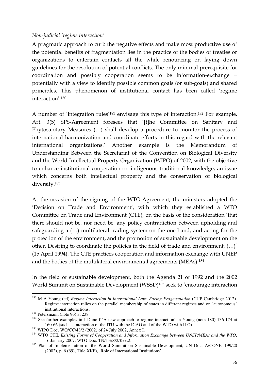#### *Non-judicial 'regime interaction'*

A pragmatic approach to curb the negative effects and make most productive use of the potential benefits of fragmentation lies in the practice of the bodies of treaties or organizations to entertain contacts all the while renouncing on laying down guidelines for the resolution of potential conflicts. The only minimal prerequisite for coordination and possibly cooperation seems to be information-exchange − potentially with a view to identify possible common goals (or sub-goals) and shared principles. This phenomenon of institutional contact has been called 'regime interaction'.<sup>180</sup>

A number of 'integration rules'<sup>181</sup> envisage this type of interaction.<sup>182</sup> For example, Art. 3(5) SPS-Agreement foresees that '[t]he Committee on Sanitary and Phytosanitary Measures (…) shall develop a procedure to monitor the process of international harmonization and coordinate efforts in this regard with the relevant international organizations.' Another example is the Memorandum of Understanding Between the Secretariat of the Convention on Biological Diversity and the World Intellectual Property Organization (WIPO) of 2002, with the objective to enhance institutional cooperation on indigenous traditional knowledge, an issue which concerns both intellectual property and the conservation of biological diversity.<sup>183</sup>

At the occasion of the signing of the WTO-Agreement, the ministers adopted the 'Decision on Trade and Environment', with which they established a WTO Committee on Trade and Environment (CTE), on the basis of the consideration 'that there should not be, nor need be, any policy contradiction between upholding and safeguarding a (…) multilateral trading system on the one hand, and acting for the protection of the environment, and the promotion of sustainable development on the other, Desiring to coordinate the policies in the field of trade and environment, (…)' (15 April 1994). The CTE practices cooperation and information exchange with UNEP and the bodies of the multilateral environmental agreements (MEAs).<sup>184</sup>

In the field of sustainable development, both the Agenda 21 of 1992 and the 2002 World Summit on Sustainable Development (WSSD)<sup>185</sup> seek to 'encourage interaction

 $\overline{a}$ <sup>180</sup> M A Young (ed) *Regime Interaction in International Law: Facing Fragmentation* (CUP Cambridge 2012). Regime interaction relies on the parallel membership of states in different regimes and on 'autonomous' institutional interactions.

<sup>&</sup>lt;sup>181</sup> Petersmann (note 96) at 238.

<sup>&</sup>lt;sup>182</sup> See further examples in J Dunoff 'A new approach to regime interaction' in Young (note 180) 136-174 at 160-66 (such as interaction of the ITU with the ICAO and of the WTO with ILO).

<sup>183</sup> WIPO Doc. WO/CC/48/2 (2002) of 24 July 2002, Annex I.

<sup>184</sup> WTO CTE, *Existing Forms of Cooperation and Information Exchange between UNEP/MEAs and the WTO*, 16 January 2007, WTO Doc. TN/TE/S/2/Rev.2.

<sup>&</sup>lt;sup>185</sup> Plan of Implementation of the World Summit on Sustainable Development, UN Doc. A/CONF. 199/20 (2002), p. 6 (69), Title XI(F), 'Role of International Institutions'.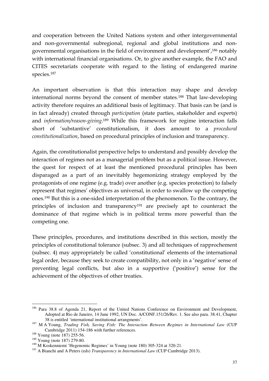and cooperation between the United Nations system and other intergovernmental and non-governmental subregional, regional and global institutions and nongovernmental organisations in the field of environment and development',<sup>186</sup> notably with international financial organisations. Or, to give another example, the FAO and CITES secretariats cooperate with regard to the listing of endangered marine species.<sup>187</sup>

An important observation is that this interaction may shape and develop international norms beyond the consent of member states*.* <sup>188</sup> That law-developing activity therefore requires an additional basis of legitimacy. That basis can be (and is in fact already) created through *participation* (state parties, stakeholder and experts) and *information/reason-giving*. <sup>189</sup> While this framework for regime interaction falls short of 'substantive' constitutionalism, it does amount to a *procedural constitutionalization*, based on procedural principles of inclusion and transparency.

Again, the constitutionalist perspective helps to understand and possibly develop the interaction of regimes not as a managerial problem but as a political issue. However, the quest for respect of at least the mentioned procedural principles has been disparaged as a part of an inevitably hegemonizing strategy employed by the protagonists of one regime (e.g. trade) over another (e.g. species protection) to falsely represent that regimes' objectives as universal, in order to swallow up the competing ones.<sup>190</sup> But this is a one-sided interpretation of the phenomenon. To the contrary, the principles of inclusion and transparency<sup>191</sup> are precisely apt to counteract the dominance of that regime which is in political terms more powerful than the competing one.

These principles, procedures, and institutions described in this section, mostly the principles of constitutional tolerance (subsec. 3) and all techniques of rapprochement (subsec. 4) may appropriately be called 'constitutional' elements of the international legal order, because they seek to create compatibility, not only in a 'negative' sense of preventing legal conflicts, but also in a supportive ('positive') sense for the achievement of the objectives of other treaties.

 $\overline{a}$ <sup>186</sup> Para 38.8 of Agenda 21, Report of the United Nations Conference on Environment and Development, Adopted at Rio de Janeiro, 14 June 1992, UN Doc. A/CONF.151/26/Rev. 1. See also para. 38.41, Chapter 38 is entitled 'international institutional arrangments'.

<sup>187</sup> M A Young, *Trading Fish, Saving Fish: The Interaction Between Regimes in International Law* (CUP Cambridge 2011) 154-186 with further references.

<sup>&</sup>lt;sup>188</sup> Young (note 187) 255-56.

<sup>189</sup> Young (note 187) 279-80.

<sup>190</sup> M Koskenniemi 'Hegenomic Regimes' in Young (note 180) 305-324 at 320-21.

<sup>&</sup>lt;sup>191</sup> A Bianchi and A Peters (eds) *Transparency in International Law* (CUP Cambridge 2013).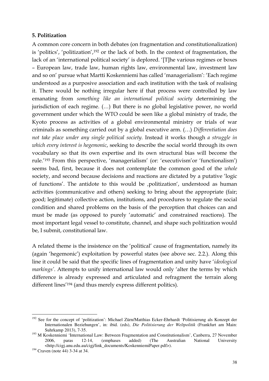#### **5. Politization**

A common core concern in both debates (on fragmentation and constitutionalization) is 'politics', 'politization',<sup>192</sup> or the lack of both. In the context of fragmentation, the lack of an 'international political society' is deplored. '[T]he various regimes or boxes – European law, trade law, human rights law, environmental law, investment law and so on' pursue what Martti Koskenniemi has called 'managerialism': 'Each regime understood as a purposive association and each institution with the task of realising it. There would be nothing irregular here if that process were controlled by law emanating from *something like an international political society* determining the jurisdiction of each regime. (…) But there is no global legislative power, no world government under which the WTO could be seen like a global ministry of trade, the Kyoto process as activities of a global environmental ministry or trials of war criminals as something carried out by a global executive arm. (…) *Differentiation does not take place under any single political society*. Instead it works though *a struggle in which every interest is hegemonic*, seeking to describe the social world through its own vocabulary so that its own expertise and its own structural bias will become the rule.'<sup>193</sup> From this perspective, 'managerialism' (or: 'executivism'or 'functionalism') seems bad, first, because it does not contemplate the common good of the *whole* society, and second because decisions and reactions are dictated by a putative 'logic of functions'. The antidote to this would be 'politization', understood as human activities (communicative and others) seeking to bring about the appropriate (fair; good; legitimate) collective action, institutions, and procedures to regulate the social condition and shared problems on the basis of the perception that choices can and must be made (as opposed to purely 'automatic' and constrained reactions). The most important legal vessel to constitute, channel, and shape such politization would be, I submit, constitutional law.

A related theme is the insistence on the 'political' cause of fragmentation, namely its (again 'hegemonic') exploitation by powerful states (see above sec. 2.2.). Along this line it could be said that the specific lines of fragmentation and unity have '*ideological markings'*. Attempts to unify international law would only 'alter the terms by which difference is already expressed and articulated and refragment the terrain along different lines'<sup>194</sup> (and thus merely express different politics).

<sup>&</sup>lt;sup>192</sup> See for the concept of 'politization': Michael Zürn/Matthias Ecker-Ehrhardt 'Politisierung als Konzept der Internationalen Beziehungen', in: ibid. (eds), *Die Politisierung der Weltpolitik* (Frankfurt am Main: Suhrkamp 2013), 7-35.

<sup>&</sup>lt;sup>193</sup> M Koskenniemi 'International Law: Between Fragmentation and Constitutionalism', Canberra, 27 November 2006, paras 12-14, (emphases added) (The Australian National University <http://cigj.anu.edu.au/cigj/link\_documents/KoskenniemiPaper.pdf>).

<sup>194</sup> Craven (note 44) 3-34 at 34.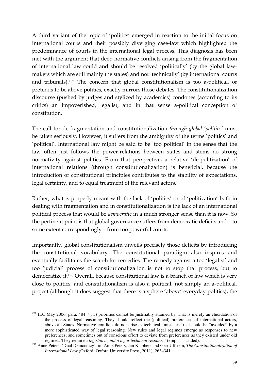A third variant of the topic of 'politics' emerged in reaction to the initial focus on international courts and their possibly diverging case-law which highlighted the predominance of courts in the international legal process. This diagnosis has been met with the argument that deep normative conflicts arising from the fragmentation of international law could and should be resolved 'politically' (by the global lawmakers which are still mainly the states) and not 'technically' (by international courts and tribunals).<sup>195</sup> The concern that global constitutionalism is too a-political, or pretends to be above politics, exactly mirrors those debates. The constitutionalization discourse (pushed by judges and stylized by academics) condones (according to its critics) an impoverished, legalist, and in that sense a-political conception of constitution.

The call for de-fragmentation and constitutionalization *through global 'politics'* must be taken seriously. However, it suffers from the ambiguity of the terms 'politics' and 'political'. International law might be said to be 'too political' in the sense that the law often just follows the power-relations between states and stems no strong normativity against politics. From that perspective, a relative 'de-politization' of international relations (through constitutionalization) is beneficial, because the introduction of constitutional principles contributes to the stability of expectations, legal certainty, and to equal treatment of the relevant actors.

Rather, what is properly meant with the lack of 'politics' or of 'politization' both in dealing with fragmentation and in constitutionalization is the lack of an international political process that would be *democratic* in a much stronger sense than it is now. So the pertinent point is that global governance suffers from democratic deficits and – to some extent correspondingly – from too powerful courts.

Importantly, global constitutionalism unveils precisely those deficits by introducing the constitutional vocabulary. The constitutional paradigm also inspires and eventually facilitates the search for remedies. The remedy against a too 'legalist' and too 'judicial' process of constitutionalization is not to stop that process, but to democratize it.<sup>196</sup> Overall, because constitutional law is a branch of law which is very close to politics, and constitutionalism is also a political, not simply an a-political, project (although it does suggest that there is a sphere 'above' everyday politics), the

 $\overline{a}$ <sup>195</sup> ILC May 2006, para. 484: '(...) priorities cannot be justifiably attained by what is merely an elucidation of the process of legal reasoning. They should reflect the (political) preferences of international actors, above all States. Normative conflicts do not arise as technical "mistakes" that could be "avoided" by a more sophisticated way of legal reasoning. New rules and legal regimes emerge as responses to new preferences, and sometimes out of conscious effort to deviate from preferences as they existed under old regimes. They require a *legislative, not a legal-technical response*' (emphasis added).

<sup>196</sup> Anne Peters, 'Dual Democracy', in: Anne Peters, Jan Klabbers and Geir Ulfstein, *The Constitutionalization of International Law* (Oxford: Oxford University Press, 2011), 263–341.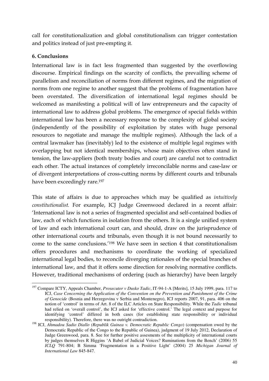call for constitutionalization and global constitutionalism can trigger contestation and politics instead of just pre-empting it.

#### **6. Conclusions**

International law is in fact less fragmented than suggested by the overflowing discourse. Empirical findings on the scarcity of conflicts, the prevailing scheme of parallelism and reconciliation of norms from different regimes, and the migration of norms from one regime to another suggest that the problems of fragmentation have been overstated. The diversification of international legal regimes should be welcomed as manifesting a political will of law entrepreneurs and the capacity of international law to address global problems. The emergence of special fields within international law has been a necessary response to the complexity of global society (independently of the possibility of exploitation by states with huge personal resources to negotiate and manage the multiple regimes). Although the lack of a central lawmaker has (inevitably) led to the existence of multiple legal regimes with overlapping but not identical memberships, whose main objectives often stand in tension, the law-appliers (both treaty bodies and court) are careful not to contradict each other. The actual instances of completely irreconcilable norms and case-law or of divergent interpretations of cross-cutting norms by different courts and tribunals have been exceedingly rare.<sup>197</sup>

This state of affairs is due to approaches which may be qualified as *intuitively constitutionalist.* For example, ICJ Judge Greenwood declared in a recent affair: 'International law is not a series of fragmented specialist and self-contained bodies of law, each of which functions in isolation from the others. It is a single unified system of law and each international court can, and should, draw on the jurisprudence of other international courts and tribunals, even though it is not bound necessarily to come to the same conclusions.'<sup>198</sup> We have seen in section 4 that constitutionalism offers procedures and mechanisms to coordinate the working of specialized international legal bodies, to reconcile diverging rationales of the special branches of international law, and that it offers some direction for resolving normative conflicts. However, traditional mechanisms of ordering (such as hierarchy) have been largely

 $\overline{a}$ <sup>197</sup> Compare ICTY, Appeals Chamber, *Prosecutor v Dusko Tadic*, IT-94-1-A [Merits], 15 July 1999, para. 117 to ICJ, *Case Concerning the Application of the Convention on the Prevention and Punishment of the Crime of Genocide* (Bosnia and Herzegovina v Serbia and Montenegro), ICJ reports 2007, 91, para. 406 on the notion of 'control' in terms of Art. 8 of the ILC Articles on State Responsibility. While the *Tadic* tribunal had relied on 'overall control', the ICJ asked for 'effective control.' The legal context and purpose for identifying 'control' differed in both cases (for establishing state responsibility or individual responsibility). Therefore, there was no outright contradiction.

<sup>198</sup> ICJ, *Ahmadou Sadio Diallo (Republik Guinea v. Democratic Republic Congo*) (compensation owed by the Democratic Republic of the Congo to the Republic of Guinea), judgment of 19 July 2012, Declaration of Judge Greenwood, para. 8. See for further positive assesments of the multiplicity of international courts by judges themselves R Higgins 'A Babel of Judicial Voices? Ruminations from the Bench' (2006) 55 *ICLQ* 791-804; B Simma 'Fragmentation in a Positive Light' (2004) 25 *Michigan Journal of International Law* 845-847.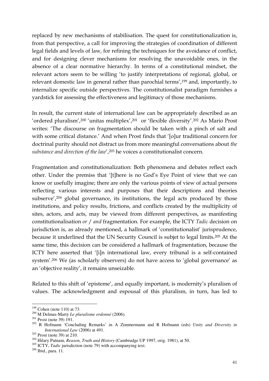replaced by new mechanisms of stabilisation. The quest for constitutionalization is, from that perspective, a call for improving the strategies of coordination of different legal fields and levels of law, for refining the techniques for the avoidance of conflict, and for designing clever mechanisms for resolving the unavoidable ones, in the absence of a clear normative hierarchy. In terms of a constitutional mindset, the relevant actors seem to be willing 'to justify interpretations of regional, global, or relevant domestic law in general rather than parochial terms',<sup>199</sup> and, importantly, to internalize specific outside perspectives. The constitutionalist paradigm furnishes a yardstick for assessing the effectiveness and legitimacy of those mechanisms.

In result, the current state of international law can be appropriately described as an 'ordered pluralism',<sup>200</sup> 'unitas multiplex',<sup>201</sup> or 'flexible diversity'.<sup>202</sup> As Mario Prost writes: 'The discourse on fragmentation should be taken with a pinch of salt and with some critical distance.' And when Prost finds that '[o]ur traditional concern for doctrinal purity should not distract us from more meaningful conversations about *the substance and direction of the law'*,<sup>203</sup> he voices a constitutionalist concern.

Fragmentation and constitutionalization: Both phenomena and debates reflect each other. Under the premiss that '[t]here is no God's Eye Point of view that we can know or usefully imagine; there are only the various points of view of actual persons reflecting various interests and purposes that their descriptions and theories subserve',<sup>204</sup> global governance, its institutions, the legal acts produced by those institutions, and policy results, frictions, and conflicts created by the multiplicity of sites, actors, and acts, may be viewed from different perspectives, as manifesting constitutionalisation *or* / *and* fragmentation. For example, the ICTY *Tadic* decision on jurisdiction is, as already mentioned, a hallmark of 'constitutionalist' jurisprudence, because it underlined that the UN Security Council is subjet to legal limits.<sup>205</sup> At the same time, this decision can be considered a hallmark of fragmentation, because the ICTY here asserted that '[i]n international law, every tribunal is a self-contained system'.<sup>206</sup> We (as scholarly observers) do not have access to 'global governance' as an 'objective reality', it remains unseizable.

Related to this shift of 'episteme', and equally important, is modernity's pluralism of values. The acknowledgment and espousal of this pluralism, in turn, has led to

 $199$  Cohen (note 110) at 73.

<sup>200</sup> M Delmas-Marty *Le pluralisme ordonné* (2006).

<sup>201</sup> Prost (note 39) 191.

<sup>202</sup> R Hofmann 'Concluding Remarks' in A Zimmermann and R Hofmann (eds) *Unity and Diversity in International Law* (2006) at 491.

<sup>203</sup> Prost (note 39) at 210.

<sup>204</sup> Hilary Putnam, *Reason, Truth and History* (Cambrudge UP 1997, orig. 1981), at 50.

<sup>&</sup>lt;sup>205</sup> ICTY, *Tadic* jurisdiction (note 79) with accompanying text.

<sup>206</sup> Ibid., para. 11.